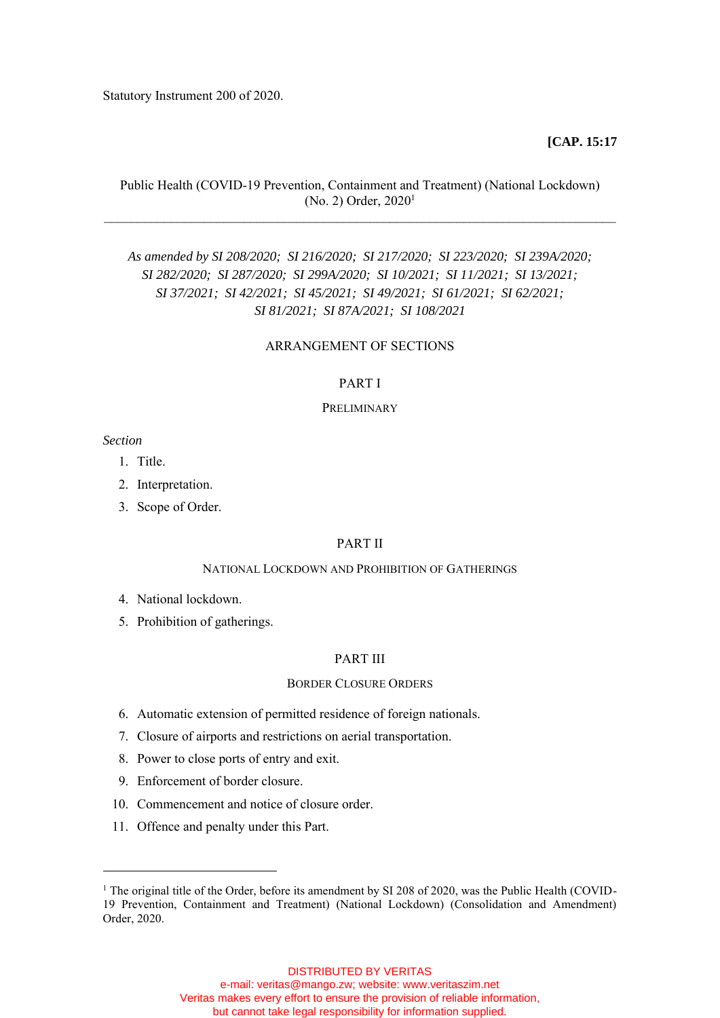Statutory Instrument 200 of 2020.

### **[CAP. 15:17**

# Public Health (COVID-19 Prevention, Containment and Treatment) (National Lockdown) (No. 2) Order, 2020<sup>1</sup> \_\_\_\_\_\_\_\_\_\_\_\_\_\_\_\_\_\_\_\_\_\_\_\_\_\_\_\_\_\_\_\_\_\_\_\_\_\_\_\_\_\_\_\_\_\_\_\_\_\_\_\_\_\_\_\_\_\_\_\_\_\_\_\_\_\_\_\_\_\_\_\_\_\_\_\_\_

*As amended by SI 208/2020; SI 216/2020; SI 217/2020; SI 223/2020; SI 239A/2020; SI 282/2020; SI 287/2020; SI 299A/2020; SI 10/2021; SI 11/2021; SI 13/2021; SI 37/2021; SI 42/2021; SI 45/2021; SI 49/2021; SI 61/2021; SI 62/2021; SI 81/2021; SI 87A/2021; SI 108/2021*

### ARRANGEMENT OF SECTIONS

### PART I

# **PRELIMINARY**

#### *Section*

- 1. Title.
- 2. Interpretation.
- 3. Scope of Order.

### PART II

### NATIONAL LOCKDOWN AND PROHIBITION OF GATHERINGS

- 4. National lockdown.
- 5. Prohibition of gatherings.

# PART III

### BORDER CLOSURE ORDERS

- 6. Automatic extension of permitted residence of foreign nationals.
- 7. Closure of airports and restrictions on aerial transportation.
- 8. Power to close ports of entry and exit.
- 9. Enforcement of border closure.
- 10. Commencement and notice of closure order.
- 11. Offence and penalty under this Part.

<sup>&</sup>lt;sup>1</sup> The original title of the Order, before its amendment by SI 208 of 2020, was the Public Health (COVID-19 Prevention, Containment and Treatment) (National Lockdown) (Consolidation and Amendment) Order, 2020.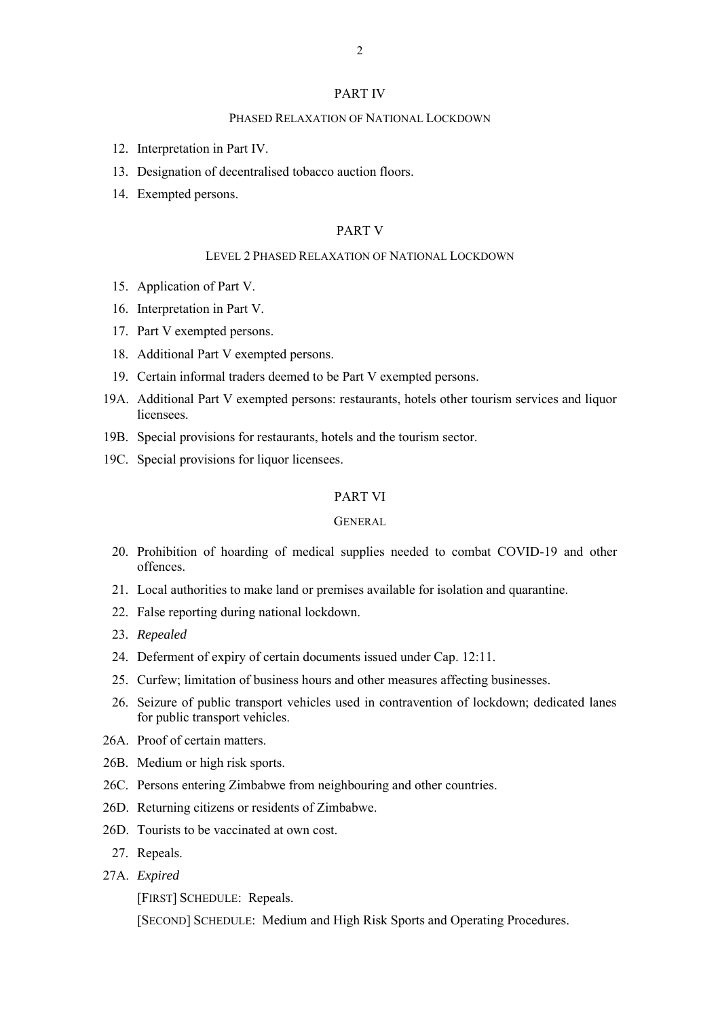### PART IV

### PHASED RELAXATION OF NATIONAL LOCKDOWN

- 12. Interpretation in Part IV.
- 13. Designation of decentralised tobacco auction floors.
- 14. Exempted persons.

### PART V

#### LEVEL 2 PHASED RELAXATION OF NATIONAL LOCKDOWN

- 15. Application of Part V.
- 16. Interpretation in Part V.
- 17. Part V exempted persons.
- 18. Additional Part V exempted persons.
- 19. Certain informal traders deemed to be Part V exempted persons.
- 19A. Additional Part V exempted persons: restaurants, hotels other tourism services and liquor licensees.
- 19B. Special provisions for restaurants, hotels and the tourism sector.
- 19C. Special provisions for liquor licensees.

# PART VI

### **GENERAL**

- 20. Prohibition of hoarding of medical supplies needed to combat COVID-19 and other offences.
- 21. Local authorities to make land or premises available for isolation and quarantine.
- 22. False reporting during national lockdown.
- 23. *Repealed*
- 24. Deferment of expiry of certain documents issued under Cap. 12:11.
- 25. Curfew; limitation of business hours and other measures affecting businesses.
- 26. Seizure of public transport vehicles used in contravention of lockdown; dedicated lanes for public transport vehicles.
- 26A. Proof of certain matters.
- 26B. Medium or high risk sports.
- 26C. Persons entering Zimbabwe from neighbouring and other countries.
- 26D. Returning citizens or residents of Zimbabwe.
- 26D. Tourists to be vaccinated at own cost.
	- 27. Repeals.
- 27A. *Expired*

[FIRST] SCHEDULE: Repeals.

[SECOND] SCHEDULE: Medium and High Risk Sports and Operating Procedures.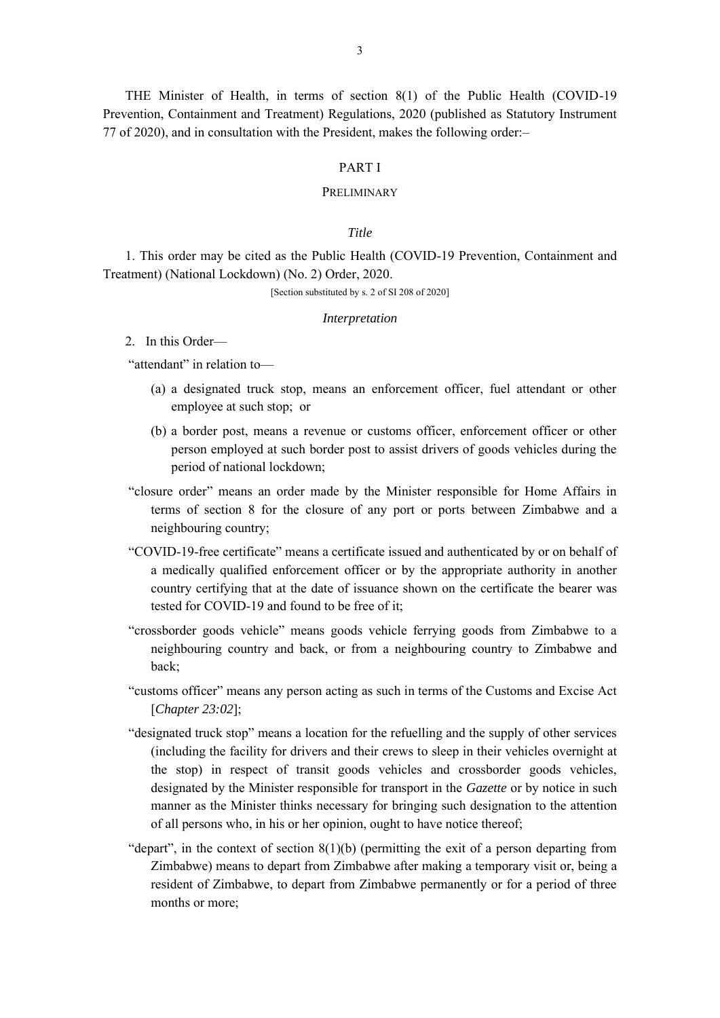THE Minister of Health, in terms of section 8(1) of the Public Health (COVID-19 Prevention, Containment and Treatment) Regulations, 2020 (published as Statutory Instrument 77 of 2020), and in consultation with the President, makes the following order:–

### PART I

#### PRELIMINARY

# *Title*

1. This order may be cited as the Public Health (COVID-19 Prevention, Containment and Treatment) (National Lockdown) (No. 2) Order, 2020.

[Section substituted by s. 2 of SI 208 of 2020]

#### *Interpretation*

# 2. In this Order—

"attendant" in relation to—

- (a) a designated truck stop, means an enforcement officer, fuel attendant or other employee at such stop; or
- (b) a border post, means a revenue or customs officer, enforcement officer or other person employed at such border post to assist drivers of goods vehicles during the period of national lockdown;
- "closure order" means an order made by the Minister responsible for Home Affairs in terms of section 8 for the closure of any port or ports between Zimbabwe and a neighbouring country;
- "COVID-19-free certificate" means a certificate issued and authenticated by or on behalf of a medically qualified enforcement officer or by the appropriate authority in another country certifying that at the date of issuance shown on the certificate the bearer was tested for COVID-19 and found to be free of it;
- "crossborder goods vehicle" means goods vehicle ferrying goods from Zimbabwe to a neighbouring country and back, or from a neighbouring country to Zimbabwe and back;
- "customs officer" means any person acting as such in terms of the Customs and Excise Act [*Chapter 23:02*];
- "designated truck stop" means a location for the refuelling and the supply of other services (including the facility for drivers and their crews to sleep in their vehicles overnight at the stop) in respect of transit goods vehicles and crossborder goods vehicles, designated by the Minister responsible for transport in the *Gazette* or by notice in such manner as the Minister thinks necessary for bringing such designation to the attention of all persons who, in his or her opinion, ought to have notice thereof;
- "depart", in the context of section  $8(1)(b)$  (permitting the exit of a person departing from Zimbabwe) means to depart from Zimbabwe after making a temporary visit or, being a resident of Zimbabwe, to depart from Zimbabwe permanently or for a period of three months or more;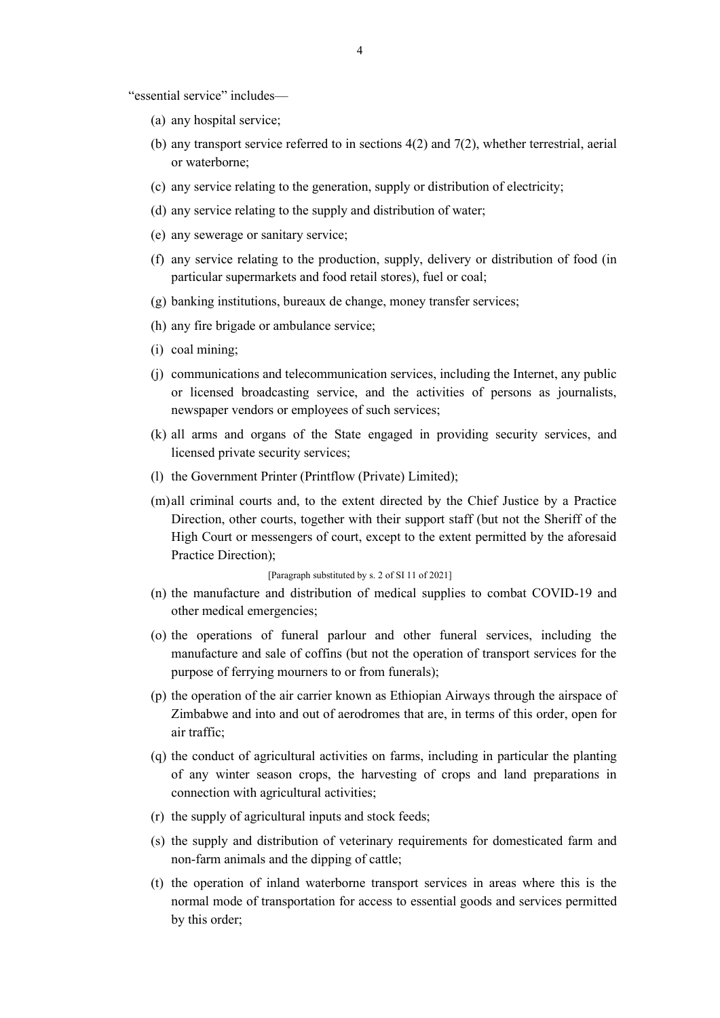"essential service" includes—

- (a) any hospital service;
- (b) any transport service referred to in sections 4(2) and 7(2), whether terrestrial, aerial or waterborne;
- (c) any service relating to the generation, supply or distribution of electricity;
- (d) any service relating to the supply and distribution of water;
- (e) any sewerage or sanitary service;
- (f) any service relating to the production, supply, delivery or distribution of food (in particular supermarkets and food retail stores), fuel or coal;
- (g) banking institutions, bureaux de change, money transfer services;
- (h) any fire brigade or ambulance service;
- (i) coal mining;
- (j) communications and telecommunication services, including the Internet, any public or licensed broadcasting service, and the activities of persons as journalists, newspaper vendors or employees of such services;
- (k) all arms and organs of the State engaged in providing security services, and licensed private security services;
- (l) the Government Printer (Printflow (Private) Limited);
- (m)all criminal courts and, to the extent directed by the Chief Justice by a Practice Direction, other courts, together with their support staff (but not the Sheriff of the High Court or messengers of court, except to the extent permitted by the aforesaid Practice Direction);

[Paragraph substituted by s. 2 of SI 11 of 2021]

- (n) the manufacture and distribution of medical supplies to combat COVID-19 and other medical emergencies;
- (o) the operations of funeral parlour and other funeral services, including the manufacture and sale of coffins (but not the operation of transport services for the purpose of ferrying mourners to or from funerals);
- (p) the operation of the air carrier known as Ethiopian Airways through the airspace of Zimbabwe and into and out of aerodromes that are, in terms of this order, open for air traffic;
- (q) the conduct of agricultural activities on farms, including in particular the planting of any winter season crops, the harvesting of crops and land preparations in connection with agricultural activities;
- (r) the supply of agricultural inputs and stock feeds;
- (s) the supply and distribution of veterinary requirements for domesticated farm and non-farm animals and the dipping of cattle;
- (t) the operation of inland waterborne transport services in areas where this is the normal mode of transportation for access to essential goods and services permitted by this order;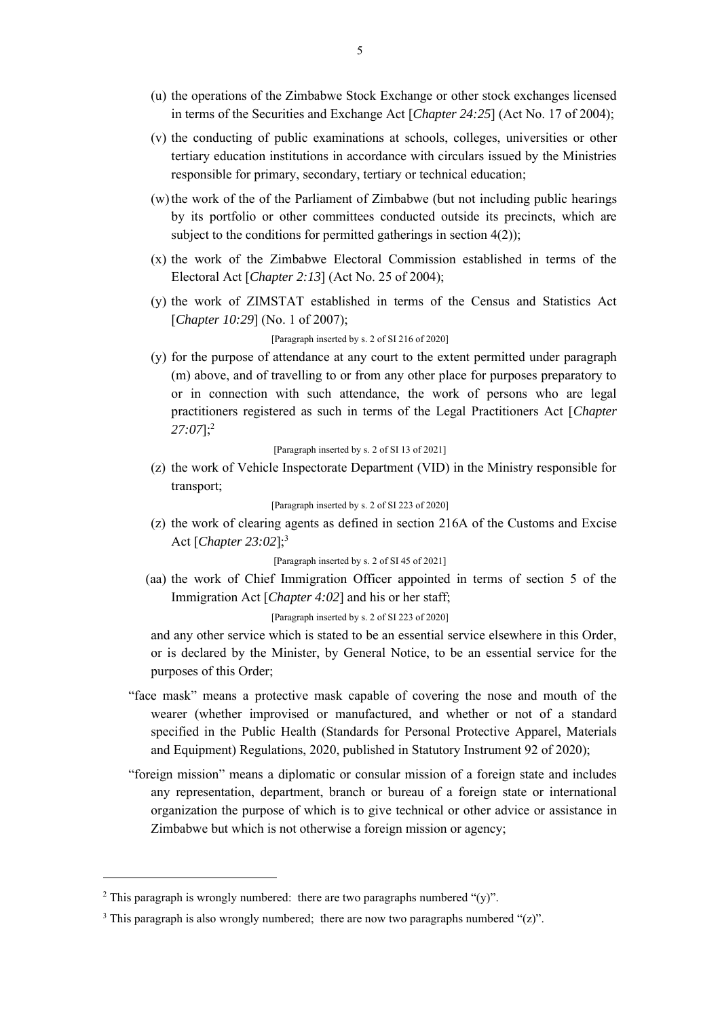- (u) the operations of the Zimbabwe Stock Exchange or other stock exchanges licensed in terms of the Securities and Exchange Act [*Chapter 24:25*] (Act No. 17 of 2004);
- (v) the conducting of public examinations at schools, colleges, universities or other tertiary education institutions in accordance with circulars issued by the Ministries responsible for primary, secondary, tertiary or technical education;
- (w)the work of the of the Parliament of Zimbabwe (but not including public hearings by its portfolio or other committees conducted outside its precincts, which are subject to the conditions for permitted gatherings in section 4(2));
- (x) the work of the Zimbabwe Electoral Commission established in terms of the Electoral Act [*Chapter 2:13*] (Act No. 25 of 2004);
- (y) the work of ZIMSTAT established in terms of the Census and Statistics Act [*Chapter 10:29*] (No. 1 of 2007);

### [Paragraph inserted by s. 2 of SI 216 of 2020]

(y) for the purpose of attendance at any court to the extent permitted under paragraph (m) above, and of travelling to or from any other place for purposes preparatory to or in connection with such attendance, the work of persons who are legal practitioners registered as such in terms of the Legal Practitioners Act [*Chapter 27:07*];<sup>2</sup>

[Paragraph inserted by s. 2 of SI 13 of 2021]

(z) the work of Vehicle Inspectorate Department (VID) in the Ministry responsible for transport;

#### [Paragraph inserted by s. 2 of SI 223 of 2020]

(z) the work of clearing agents as defined in section 216A of the Customs and Excise Act [*Chapter 23:02*];<sup>3</sup>

# [Paragraph inserted by s. 2 of SI 45 of 2021]

(aa) the work of Chief Immigration Officer appointed in terms of section 5 of the Immigration Act [*Chapter 4:02*] and his or her staff;

### [Paragraph inserted by s. 2 of SI 223 of 2020]

and any other service which is stated to be an essential service elsewhere in this Order, or is declared by the Minister, by General Notice, to be an essential service for the purposes of this Order;

- "face mask" means a protective mask capable of covering the nose and mouth of the wearer (whether improvised or manufactured, and whether or not of a standard specified in the Public Health (Standards for Personal Protective Apparel, Materials and Equipment) Regulations, 2020, published in Statutory Instrument 92 of 2020);
- "foreign mission" means a diplomatic or consular mission of a foreign state and includes any representation, department, branch or bureau of a foreign state or international organization the purpose of which is to give technical or other advice or assistance in Zimbabwe but which is not otherwise a foreign mission or agency;

<sup>&</sup>lt;sup>2</sup> This paragraph is wrongly numbered: there are two paragraphs numbered " $(y)$ ".

<sup>&</sup>lt;sup>3</sup> This paragraph is also wrongly numbered; there are now two paragraphs numbered " $(z)$ ".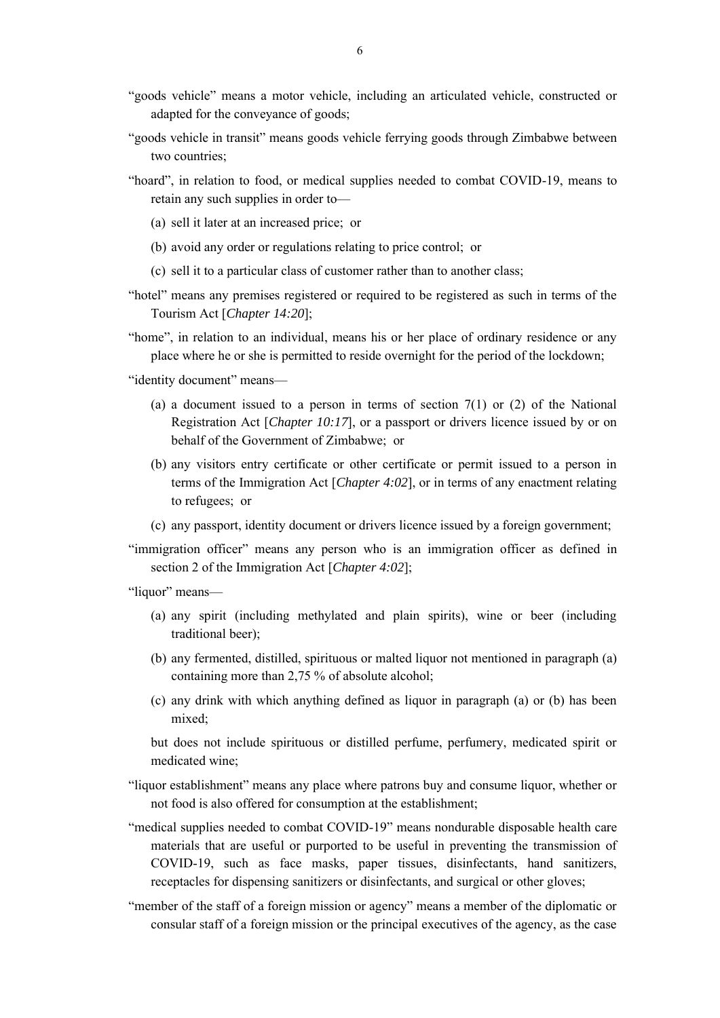- "goods vehicle" means a motor vehicle, including an articulated vehicle, constructed or adapted for the conveyance of goods;
- "goods vehicle in transit" means goods vehicle ferrying goods through Zimbabwe between two countries;
- "hoard", in relation to food, or medical supplies needed to combat COVID-19, means to retain any such supplies in order to—
	- (a) sell it later at an increased price; or
	- (b) avoid any order or regulations relating to price control; or
	- (c) sell it to a particular class of customer rather than to another class;
- "hotel" means any premises registered or required to be registered as such in terms of the Tourism Act [*Chapter 14:20*];
- "home", in relation to an individual, means his or her place of ordinary residence or any place where he or she is permitted to reside overnight for the period of the lockdown;

"identity document" means—

- (a) a document issued to a person in terms of section  $7(1)$  or  $(2)$  of the National Registration Act [*Chapter 10:17*], or a passport or drivers licence issued by or on behalf of the Government of Zimbabwe; or
- (b) any visitors entry certificate or other certificate or permit issued to a person in terms of the Immigration Act [*Chapter 4:02*], or in terms of any enactment relating to refugees; or
- (c) any passport, identity document or drivers licence issued by a foreign government;
- "immigration officer" means any person who is an immigration officer as defined in section 2 of the Immigration Act [*Chapter 4:02*];

"liquor" means—

- (a) any spirit (including methylated and plain spirits), wine or beer (including traditional beer);
- (b) any fermented, distilled, spirituous or malted liquor not mentioned in paragraph (a) containing more than 2,75 % of absolute alcohol;
- (c) any drink with which anything defined as liquor in paragraph (a) or (b) has been mixed;

but does not include spirituous or distilled perfume, perfumery, medicated spirit or medicated wine;

- "liquor establishment" means any place where patrons buy and consume liquor, whether or not food is also offered for consumption at the establishment;
- "medical supplies needed to combat COVID-19" means nondurable disposable health care materials that are useful or purported to be useful in preventing the transmission of COVID-19, such as face masks, paper tissues, disinfectants, hand sanitizers, receptacles for dispensing sanitizers or disinfectants, and surgical or other gloves;
- "member of the staff of a foreign mission or agency" means a member of the diplomatic or consular staff of a foreign mission or the principal executives of the agency, as the case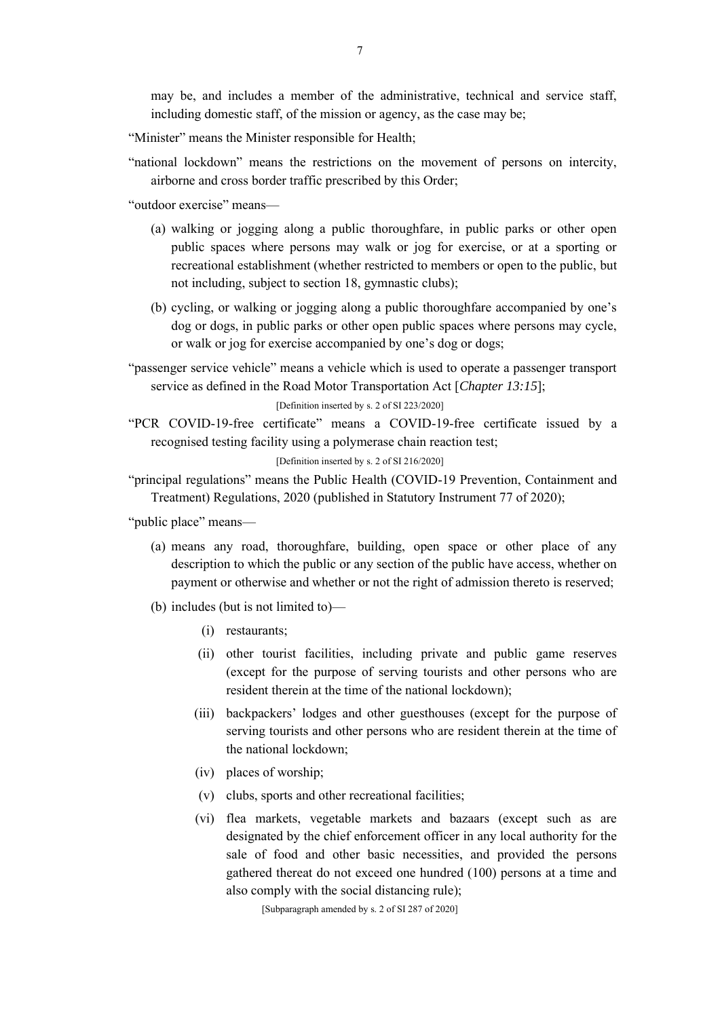may be, and includes a member of the administrative, technical and service staff, including domestic staff, of the mission or agency, as the case may be;

"Minister" means the Minister responsible for Health;

"national lockdown" means the restrictions on the movement of persons on intercity, airborne and cross border traffic prescribed by this Order;

"outdoor exercise" means—

- (a) walking or jogging along a public thoroughfare, in public parks or other open public spaces where persons may walk or jog for exercise, or at a sporting or recreational establishment (whether restricted to members or open to the public, but not including, subject to section 18, gymnastic clubs);
- (b) cycling, or walking or jogging along a public thoroughfare accompanied by one's dog or dogs, in public parks or other open public spaces where persons may cycle, or walk or jog for exercise accompanied by one's dog or dogs;

"passenger service vehicle" means a vehicle which is used to operate a passenger transport service as defined in the Road Motor Transportation Act [*Chapter 13:15*];

[Definition inserted by s. 2 of SI 223/2020]

"PCR COVID-19-free certificate" means a COVID-19-free certificate issued by a recognised testing facility using a polymerase chain reaction test;

[Definition inserted by s. 2 of SI 216/2020]

"principal regulations" means the Public Health (COVID-19 Prevention, Containment and Treatment) Regulations, 2020 (published in Statutory Instrument 77 of 2020);

"public place" means—

- (a) means any road, thoroughfare, building, open space or other place of any description to which the public or any section of the public have access, whether on payment or otherwise and whether or not the right of admission thereto is reserved;
- (b) includes (but is not limited to)—
	- (i) restaurants;
	- (ii) other tourist facilities, including private and public game reserves (except for the purpose of serving tourists and other persons who are resident therein at the time of the national lockdown);
	- (iii) backpackers' lodges and other guesthouses (except for the purpose of serving tourists and other persons who are resident therein at the time of the national lockdown;
	- (iv) places of worship;
	- (v) clubs, sports and other recreational facilities;
	- (vi) flea markets, vegetable markets and bazaars (except such as are designated by the chief enforcement officer in any local authority for the sale of food and other basic necessities, and provided the persons gathered thereat do not exceed one hundred (100) persons at a time and also comply with the social distancing rule);

[Subparagraph amended by s. 2 of SI 287 of 2020]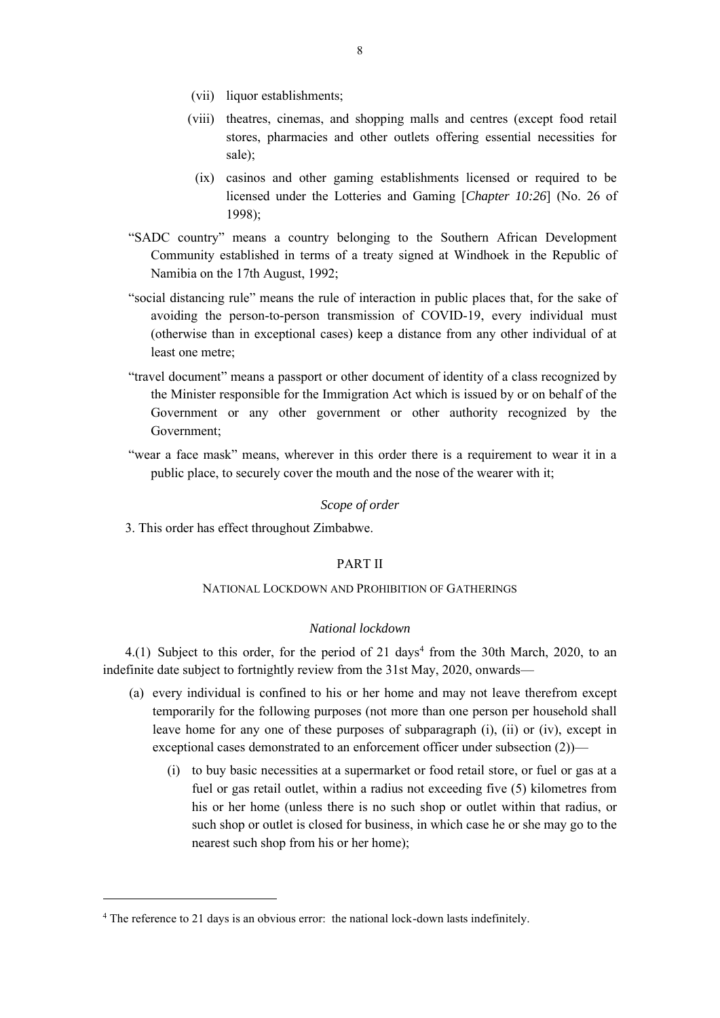- (vii) liquor establishments;
- (viii) theatres, cinemas, and shopping malls and centres (except food retail stores, pharmacies and other outlets offering essential necessities for sale);
	- (ix) casinos and other gaming establishments licensed or required to be licensed under the Lotteries and Gaming [*Chapter 10:26*] (No. 26 of 1998);
- "SADC country" means a country belonging to the Southern African Development Community established in terms of a treaty signed at Windhoek in the Republic of Namibia on the 17th August, 1992;
- "social distancing rule" means the rule of interaction in public places that, for the sake of avoiding the person-to-person transmission of COVID-19, every individual must (otherwise than in exceptional cases) keep a distance from any other individual of at least one metre;
- "travel document" means a passport or other document of identity of a class recognized by the Minister responsible for the Immigration Act which is issued by or on behalf of the Government or any other government or other authority recognized by the Government;
- "wear a face mask" means, wherever in this order there is a requirement to wear it in a public place, to securely cover the mouth and the nose of the wearer with it;

#### *Scope of order*

3. This order has effect throughout Zimbabwe.

## PART II

# NATIONAL LOCKDOWN AND PROHIBITION OF GATHERINGS

# *National lockdown*

 $4.(1)$  Subject to this order, for the period of 21 days<sup>4</sup> from the 30th March, 2020, to an indefinite date subject to fortnightly review from the 31st May, 2020, onwards—

- (a) every individual is confined to his or her home and may not leave therefrom except temporarily for the following purposes (not more than one person per household shall leave home for any one of these purposes of subparagraph (i), (ii) or (iv), except in exceptional cases demonstrated to an enforcement officer under subsection (2))—
	- (i) to buy basic necessities at a supermarket or food retail store, or fuel or gas at a fuel or gas retail outlet, within a radius not exceeding five (5) kilometres from his or her home (unless there is no such shop or outlet within that radius, or such shop or outlet is closed for business, in which case he or she may go to the nearest such shop from his or her home);

<sup>&</sup>lt;sup>4</sup> The reference to 21 days is an obvious error: the national lock-down lasts indefinitely.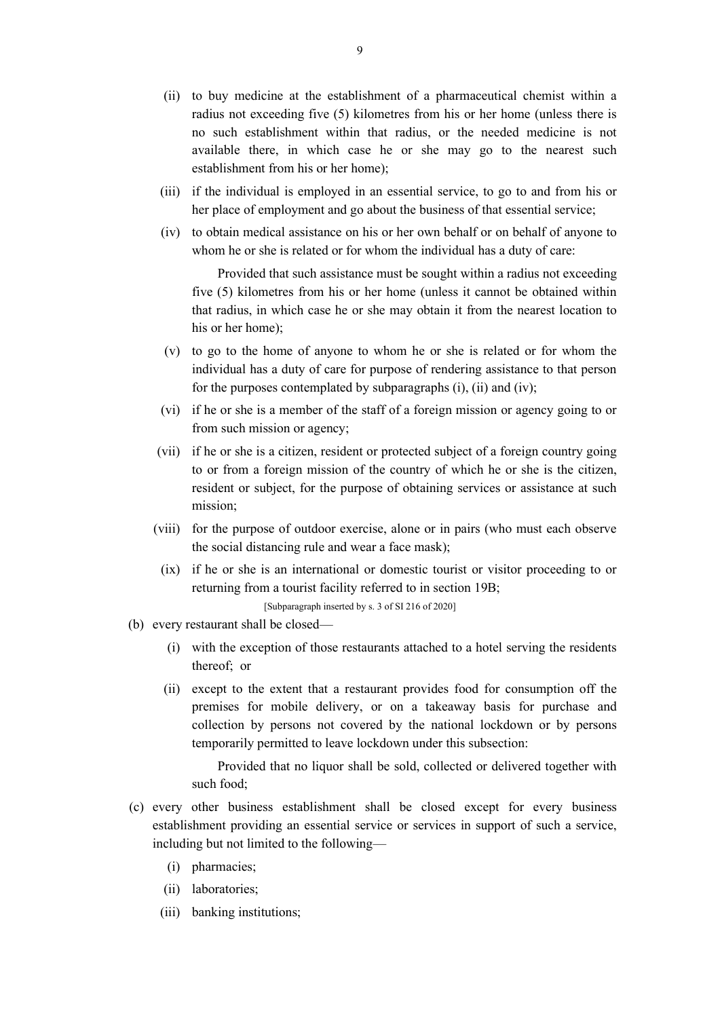- (ii) to buy medicine at the establishment of a pharmaceutical chemist within a radius not exceeding five (5) kilometres from his or her home (unless there is no such establishment within that radius, or the needed medicine is not available there, in which case he or she may go to the nearest such establishment from his or her home);
- (iii) if the individual is employed in an essential service, to go to and from his or her place of employment and go about the business of that essential service;
- (iv) to obtain medical assistance on his or her own behalf or on behalf of anyone to whom he or she is related or for whom the individual has a duty of care:

Provided that such assistance must be sought within a radius not exceeding five (5) kilometres from his or her home (unless it cannot be obtained within that radius, in which case he or she may obtain it from the nearest location to his or her home);

- (v) to go to the home of anyone to whom he or she is related or for whom the individual has a duty of care for purpose of rendering assistance to that person for the purposes contemplated by subparagraphs (i), (ii) and (iv);
- (vi) if he or she is a member of the staff of a foreign mission or agency going to or from such mission or agency;
- (vii) if he or she is a citizen, resident or protected subject of a foreign country going to or from a foreign mission of the country of which he or she is the citizen, resident or subject, for the purpose of obtaining services or assistance at such mission;
- (viii) for the purpose of outdoor exercise, alone or in pairs (who must each observe the social distancing rule and wear a face mask);
	- (ix) if he or she is an international or domestic tourist or visitor proceeding to or returning from a tourist facility referred to in section 19B;

[Subparagraph inserted by s. 3 of SI 216 of 2020]

- (b) every restaurant shall be closed—
	- (i) with the exception of those restaurants attached to a hotel serving the residents thereof; or
	- (ii) except to the extent that a restaurant provides food for consumption off the premises for mobile delivery, or on a takeaway basis for purchase and collection by persons not covered by the national lockdown or by persons temporarily permitted to leave lockdown under this subsection:

Provided that no liquor shall be sold, collected or delivered together with such food;

- (c) every other business establishment shall be closed except for every business establishment providing an essential service or services in support of such a service, including but not limited to the following—
	- (i) pharmacies;
	- (ii) laboratories;
	- (iii) banking institutions;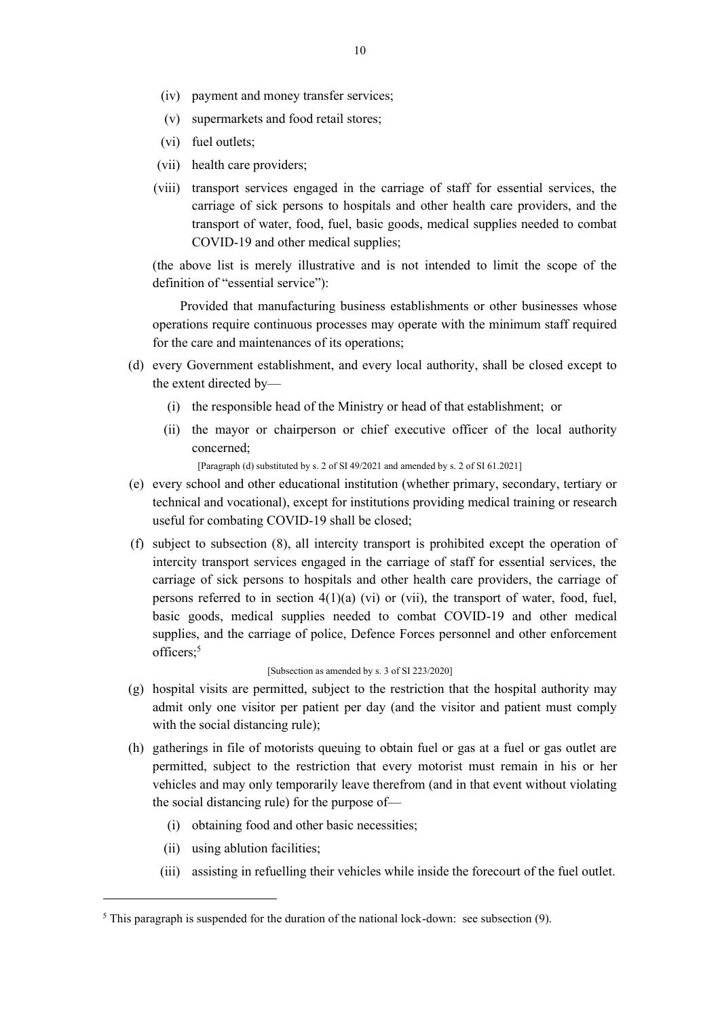- (iv) payment and money transfer services;
- (v) supermarkets and food retail stores;
- (vi) fuel outlets;
- (vii) health care providers;
- (viii) transport services engaged in the carriage of staff for essential services, the carriage of sick persons to hospitals and other health care providers, and the transport of water, food, fuel, basic goods, medical supplies needed to combat COVID-19 and other medical supplies;

(the above list is merely illustrative and is not intended to limit the scope of the definition of "essential service"):

Provided that manufacturing business establishments or other businesses whose operations require continuous processes may operate with the minimum staff required for the care and maintenances of its operations;

- (d) every Government establishment, and every local authority, shall be closed except to the extent directed by—
	- (i) the responsible head of the Ministry or head of that establishment; or
	- (ii) the mayor or chairperson or chief executive officer of the local authority concerned;

[Paragraph (d) substituted by s. 2 of SI 49/2021 and amended by s. 2 of SI 61.2021]

- (e) every school and other educational institution (whether primary, secondary, tertiary or technical and vocational), except for institutions providing medical training or research useful for combating COVID-19 shall be closed;
- (f) subject to subsection (8), all intercity transport is prohibited except the operation of intercity transport services engaged in the carriage of staff for essential services, the carriage of sick persons to hospitals and other health care providers, the carriage of persons referred to in section  $4(1)(a)$  (vi) or (vii), the transport of water, food, fuel, basic goods, medical supplies needed to combat COVID-19 and other medical supplies, and the carriage of police, Defence Forces personnel and other enforcement officers;<sup>5</sup>

### [Subsection as amended by s. 3 of SI 223/2020]

- (g) hospital visits are permitted, subject to the restriction that the hospital authority may admit only one visitor per patient per day (and the visitor and patient must comply with the social distancing rule);
- (h) gatherings in file of motorists queuing to obtain fuel or gas at a fuel or gas outlet are permitted, subject to the restriction that every motorist must remain in his or her vehicles and may only temporarily leave therefrom (and in that event without violating the social distancing rule) for the purpose of—
	- (i) obtaining food and other basic necessities;
	- (ii) using ablution facilities;
	- (iii) assisting in refuelling their vehicles while inside the forecourt of the fuel outlet.

 $5$  This paragraph is suspended for the duration of the national lock-down: see subsection (9).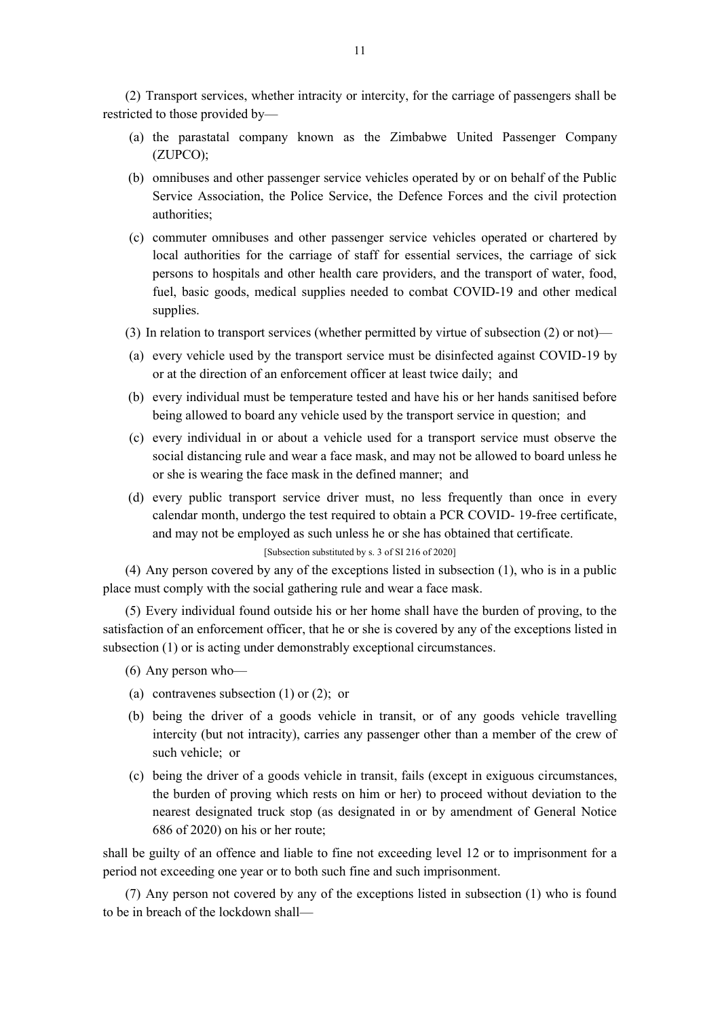(2) Transport services, whether intracity or intercity, for the carriage of passengers shall be restricted to those provided by—

- (a) the parastatal company known as the Zimbabwe United Passenger Company (ZUPCO);
- (b) omnibuses and other passenger service vehicles operated by or on behalf of the Public Service Association, the Police Service, the Defence Forces and the civil protection authorities;
- (c) commuter omnibuses and other passenger service vehicles operated or chartered by local authorities for the carriage of staff for essential services, the carriage of sick persons to hospitals and other health care providers, and the transport of water, food, fuel, basic goods, medical supplies needed to combat COVID-19 and other medical supplies.
- (3) In relation to transport services (whether permitted by virtue of subsection (2) or not)—
- (a) every vehicle used by the transport service must be disinfected against COVID-19 by or at the direction of an enforcement officer at least twice daily; and
- (b) every individual must be temperature tested and have his or her hands sanitised before being allowed to board any vehicle used by the transport service in question; and
- (c) every individual in or about a vehicle used for a transport service must observe the social distancing rule and wear a face mask, and may not be allowed to board unless he or she is wearing the face mask in the defined manner; and
- (d) every public transport service driver must, no less frequently than once in every calendar month, undergo the test required to obtain a PCR COVID- 19-free certificate, and may not be employed as such unless he or she has obtained that certificate.

# [Subsection substituted by s. 3 of SI 216 of 2020]

(4) Any person covered by any of the exceptions listed in subsection (1), who is in a public place must comply with the social gathering rule and wear a face mask.

(5) Every individual found outside his or her home shall have the burden of proving, to the satisfaction of an enforcement officer, that he or she is covered by any of the exceptions listed in subsection (1) or is acting under demonstrably exceptional circumstances.

- (6) Any person who—
- (a) contravenes subsection (1) or (2); or
- (b) being the driver of a goods vehicle in transit, or of any goods vehicle travelling intercity (but not intracity), carries any passenger other than a member of the crew of such vehicle; or
- (c) being the driver of a goods vehicle in transit, fails (except in exiguous circumstances, the burden of proving which rests on him or her) to proceed without deviation to the nearest designated truck stop (as designated in or by amendment of General Notice 686 of 2020) on his or her route;

shall be guilty of an offence and liable to fine not exceeding level 12 or to imprisonment for a period not exceeding one year or to both such fine and such imprisonment.

(7) Any person not covered by any of the exceptions listed in subsection (1) who is found to be in breach of the lockdown shall—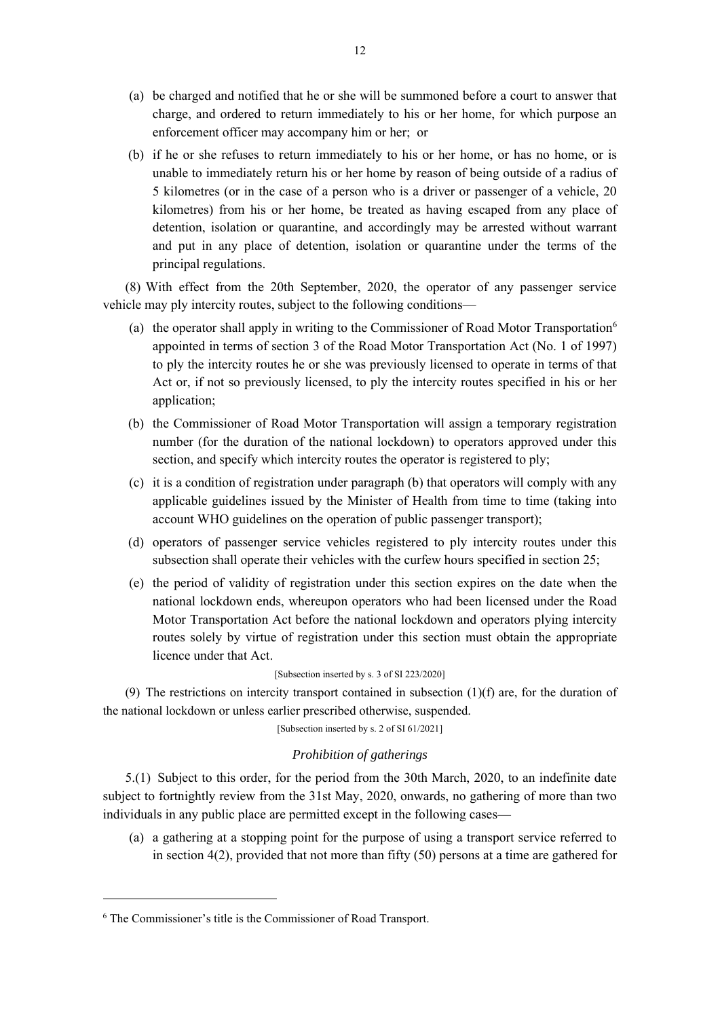- (a) be charged and notified that he or she will be summoned before a court to answer that charge, and ordered to return immediately to his or her home, for which purpose an enforcement officer may accompany him or her; or
- (b) if he or she refuses to return immediately to his or her home, or has no home, or is unable to immediately return his or her home by reason of being outside of a radius of 5 kilometres (or in the case of a person who is a driver or passenger of a vehicle, 20 kilometres) from his or her home, be treated as having escaped from any place of detention, isolation or quarantine, and accordingly may be arrested without warrant and put in any place of detention, isolation or quarantine under the terms of the principal regulations.

(8) With effect from the 20th September, 2020, the operator of any passenger service vehicle may ply intercity routes, subject to the following conditions—

- (a) the operator shall apply in writing to the Commissioner of Road Motor Transportation<sup>6</sup> appointed in terms of section 3 of the Road Motor Transportation Act (No. 1 of 1997) to ply the intercity routes he or she was previously licensed to operate in terms of that Act or, if not so previously licensed, to ply the intercity routes specified in his or her application;
- (b) the Commissioner of Road Motor Transportation will assign a temporary registration number (for the duration of the national lockdown) to operators approved under this section, and specify which intercity routes the operator is registered to ply;
- (c) it is a condition of registration under paragraph (b) that operators will comply with any applicable guidelines issued by the Minister of Health from time to time (taking into account WHO guidelines on the operation of public passenger transport);
- (d) operators of passenger service vehicles registered to ply intercity routes under this subsection shall operate their vehicles with the curfew hours specified in section 25;
- (e) the period of validity of registration under this section expires on the date when the national lockdown ends, whereupon operators who had been licensed under the Road Motor Transportation Act before the national lockdown and operators plying intercity routes solely by virtue of registration under this section must obtain the appropriate licence under that Act.

# [Subsection inserted by s. 3 of SI 223/2020]

(9) The restrictions on intercity transport contained in subsection  $(1)(f)$  are, for the duration of the national lockdown or unless earlier prescribed otherwise, suspended.

[Subsection inserted by s. 2 of SI 61/2021]

#### *Prohibition of gatherings*

5.(1) Subject to this order, for the period from the 30th March, 2020, to an indefinite date subject to fortnightly review from the 31st May, 2020, onwards, no gathering of more than two individuals in any public place are permitted except in the following cases—

(a) a gathering at a stopping point for the purpose of using a transport service referred to in section  $4(2)$ , provided that not more than fifty  $(50)$  persons at a time are gathered for

<sup>6</sup> The Commissioner's title is the Commissioner of Road Transport.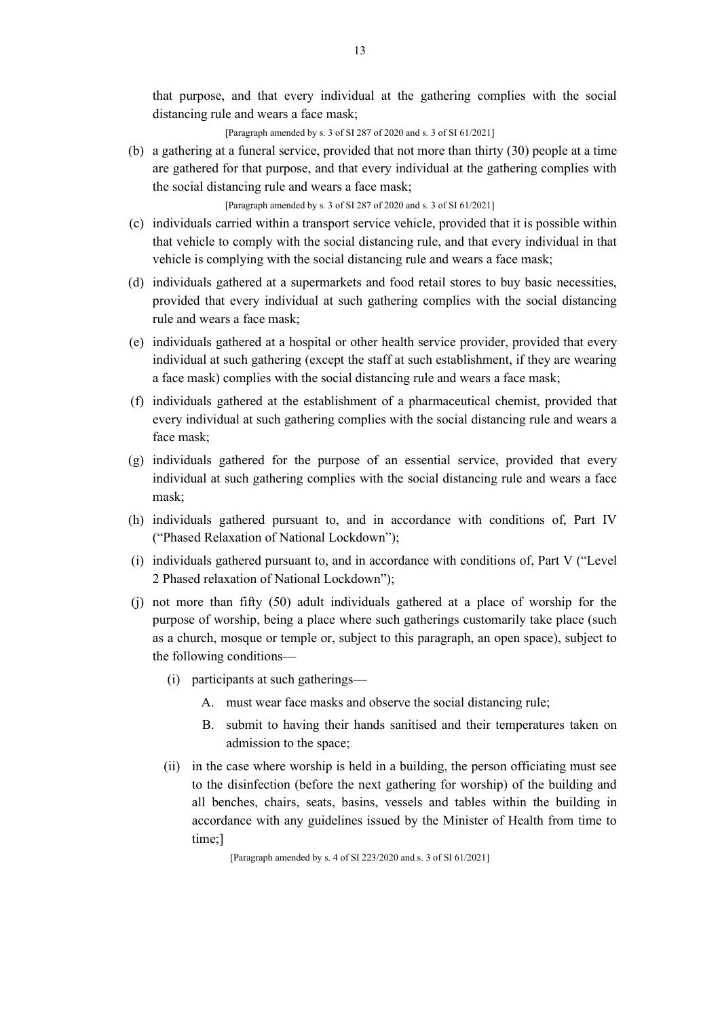that purpose, and that every individual at the gathering complies with the social distancing rule and wears a face mask;

[Paragraph amended by s. 3 of SI 287 of 2020 and s. 3 of SI 61/2021]

(b) a gathering at a funeral service, provided that not more than thirty (30) people at a time are gathered for that purpose, and that every individual at the gathering complies with the social distancing rule and wears a face mask;

[Paragraph amended by s. 3 of SI 287 of 2020 and s. 3 of SI 61/2021]

- (c) individuals carried within a transport service vehicle, provided that it is possible within that vehicle to comply with the social distancing rule, and that every individual in that vehicle is complying with the social distancing rule and wears a face mask;
- (d) individuals gathered at a supermarkets and food retail stores to buy basic necessities, provided that every individual at such gathering complies with the social distancing rule and wears a face mask;
- (e) individuals gathered at a hospital or other health service provider, provided that every individual at such gathering (except the staff at such establishment, if they are wearing a face mask) complies with the social distancing rule and wears a face mask;
- (f) individuals gathered at the establishment of a pharmaceutical chemist, provided that every individual at such gathering complies with the social distancing rule and wears a face mask;
- (g) individuals gathered for the purpose of an essential service, provided that every individual at such gathering complies with the social distancing rule and wears a face mask;
- (h) individuals gathered pursuant to, and in accordance with conditions of, Part IV ("Phased Relaxation of National Lockdown");
- (i) individuals gathered pursuant to, and in accordance with conditions of, Part V ("Level 2 Phased relaxation of National Lockdown");
- (j) not more than fifty (50) adult individuals gathered at a place of worship for the purpose of worship, being a place where such gatherings customarily take place (such as a church, mosque or temple or, subject to this paragraph, an open space), subject to the following conditions—
	- (i) participants at such gatherings—
		- A. must wear face masks and observe the social distancing rule;
		- B. submit to having their hands sanitised and their temperatures taken on admission to the space;
	- (ii) in the case where worship is held in a building, the person officiating must see to the disinfection (before the next gathering for worship) of the building and all benches, chairs, seats, basins, vessels and tables within the building in accordance with any guidelines issued by the Minister of Health from time to time;]

[Paragraph amended by s. 4 of SI 223/2020 and s. 3 of SI 61/2021]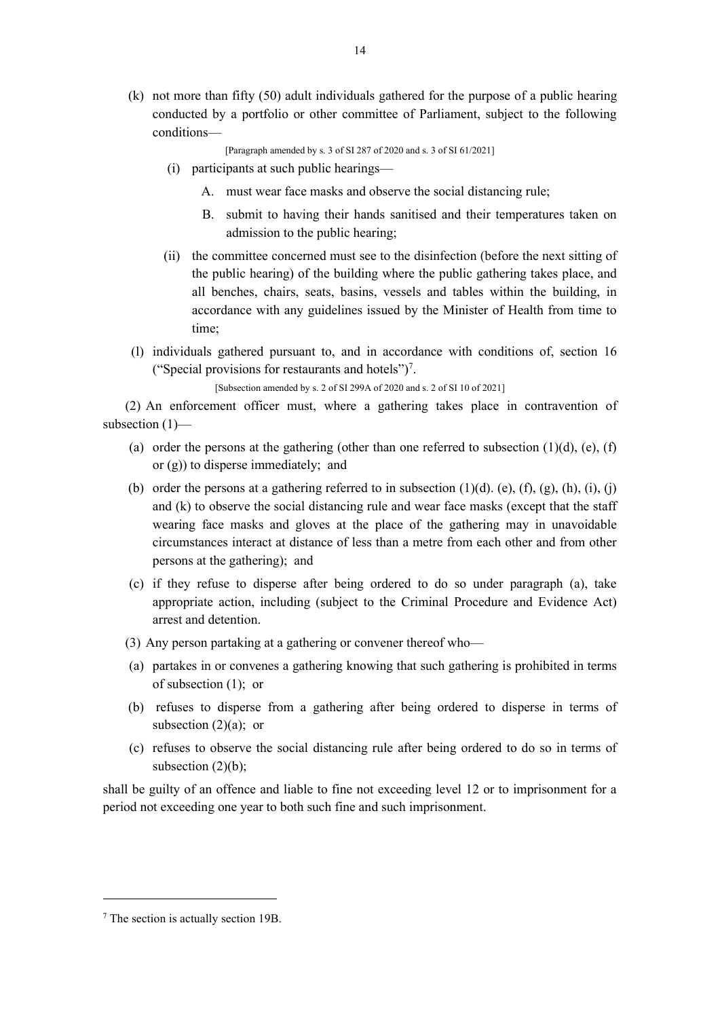(k) not more than fifty (50) adult individuals gathered for the purpose of a public hearing conducted by a portfolio or other committee of Parliament, subject to the following conditions—

[Paragraph amended by s. 3 of SI 287 of 2020 and s. 3 of SI 61/2021]

- (i) participants at such public hearings—
	- A. must wear face masks and observe the social distancing rule;
	- B. submit to having their hands sanitised and their temperatures taken on admission to the public hearing;
- (ii) the committee concerned must see to the disinfection (before the next sitting of the public hearing) of the building where the public gathering takes place, and all benches, chairs, seats, basins, vessels and tables within the building, in accordance with any guidelines issued by the Minister of Health from time to time;
- (l) individuals gathered pursuant to, and in accordance with conditions of, section 16 ("Special provisions for restaurants and hotels")<sup>7</sup>.

[Subsection amended by s. 2 of SI 299A of 2020 and s. 2 of SI 10 of 2021]

(2) An enforcement officer must, where a gathering takes place in contravention of subsection (1)—

- (a) order the persons at the gathering (other than one referred to subsection  $(1)(d)$ , (e), (f) or (g)) to disperse immediately; and
- (b) order the persons at a gathering referred to in subsection  $(1)(d)$ . (e),  $(f)$ ,  $(g)$ ,  $(h)$ ,  $(i)$ ,  $(i)$ and (k) to observe the social distancing rule and wear face masks (except that the staff wearing face masks and gloves at the place of the gathering may in unavoidable circumstances interact at distance of less than a metre from each other and from other persons at the gathering); and
- (c) if they refuse to disperse after being ordered to do so under paragraph (a), take appropriate action, including (subject to the Criminal Procedure and Evidence Act) arrest and detention.
- (3) Any person partaking at a gathering or convener thereof who—
- (a) partakes in or convenes a gathering knowing that such gathering is prohibited in terms of subsection (1); or
- (b) refuses to disperse from a gathering after being ordered to disperse in terms of subsection  $(2)(a)$ ; or
- (c) refuses to observe the social distancing rule after being ordered to do so in terms of subsection  $(2)(b)$ ;

shall be guilty of an offence and liable to fine not exceeding level 12 or to imprisonment for a period not exceeding one year to both such fine and such imprisonment.

<sup>7</sup> The section is actually section 19B.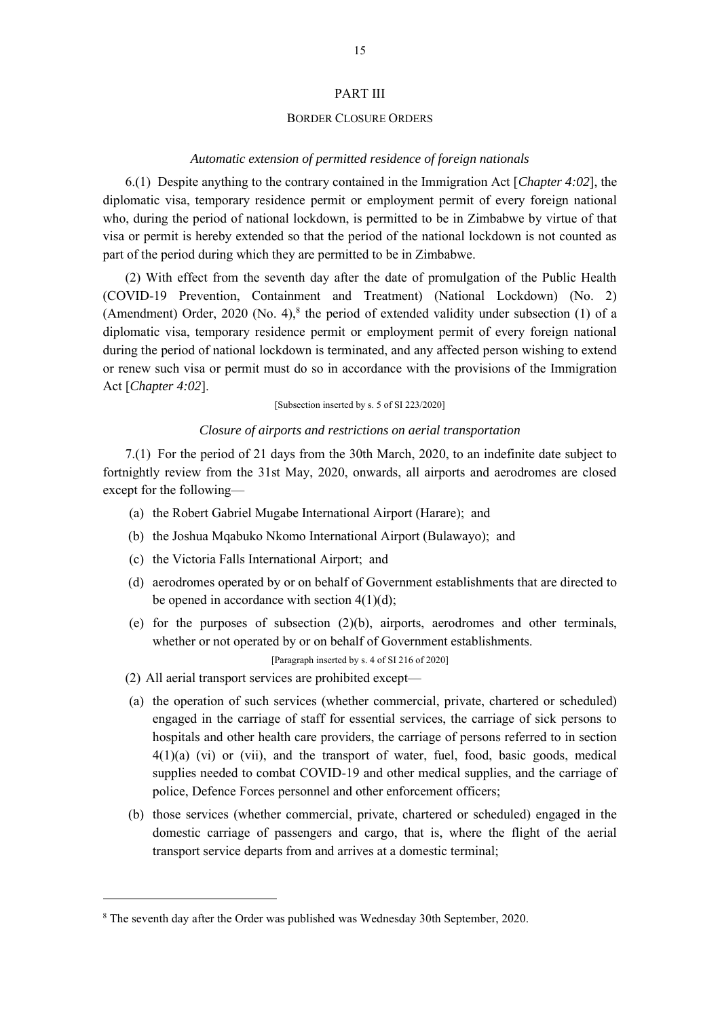### PART III

#### BORDER CLOSURE ORDERS

#### *Automatic extension of permitted residence of foreign nationals*

6.(1) Despite anything to the contrary contained in the Immigration Act [*Chapter 4:02*], the diplomatic visa, temporary residence permit or employment permit of every foreign national who, during the period of national lockdown, is permitted to be in Zimbabwe by virtue of that visa or permit is hereby extended so that the period of the national lockdown is not counted as part of the period during which they are permitted to be in Zimbabwe.

(2) With effect from the seventh day after the date of promulgation of the Public Health (COVID-19 Prevention, Containment and Treatment) (National Lockdown) (No. 2) (Amendment) Order, 2020 (No. 4),<sup>8</sup> the period of extended validity under subsection (1) of a diplomatic visa, temporary residence permit or employment permit of every foreign national during the period of national lockdown is terminated, and any affected person wishing to extend or renew such visa or permit must do so in accordance with the provisions of the Immigration Act [*Chapter 4:02*].

[Subsection inserted by s. 5 of SI 223/2020]

### *Closure of airports and restrictions on aerial transportation*

7.(1) For the period of 21 days from the 30th March, 2020, to an indefinite date subject to fortnightly review from the 31st May, 2020, onwards, all airports and aerodromes are closed except for the following—

- (a) the Robert Gabriel Mugabe International Airport (Harare); and
- (b) the Joshua Mqabuko Nkomo International Airport (Bulawayo); and
- (c) the Victoria Falls International Airport; and
- (d) aerodromes operated by or on behalf of Government establishments that are directed to be opened in accordance with section  $4(1)(d)$ ;
- (e) for the purposes of subsection (2)(b), airports, aerodromes and other terminals, whether or not operated by or on behalf of Government establishments.

[Paragraph inserted by s. 4 of SI 216 of 2020]

- (2) All aerial transport services are prohibited except—
- (a) the operation of such services (whether commercial, private, chartered or scheduled) engaged in the carriage of staff for essential services, the carriage of sick persons to hospitals and other health care providers, the carriage of persons referred to in section 4(1)(a) (vi) or (vii), and the transport of water, fuel, food, basic goods, medical supplies needed to combat COVID-19 and other medical supplies, and the carriage of police, Defence Forces personnel and other enforcement officers;
- (b) those services (whether commercial, private, chartered or scheduled) engaged in the domestic carriage of passengers and cargo, that is, where the flight of the aerial transport service departs from and arrives at a domestic terminal;

<sup>8</sup> The seventh day after the Order was published was Wednesday 30th September, 2020.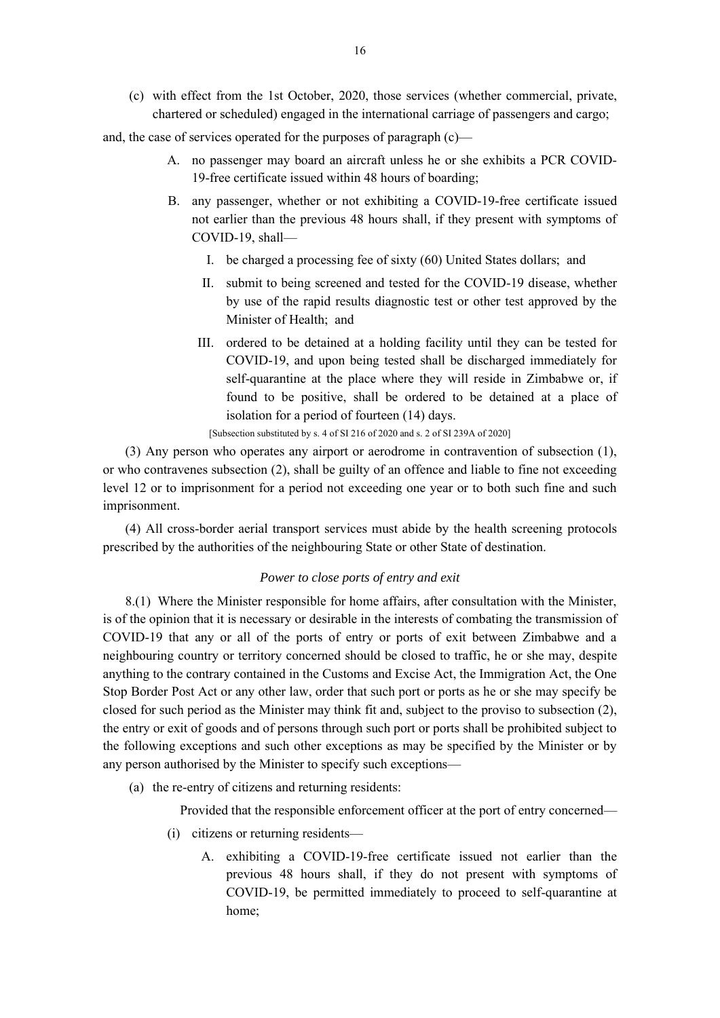(c) with effect from the 1st October, 2020, those services (whether commercial, private, chartered or scheduled) engaged in the international carriage of passengers and cargo;

and, the case of services operated for the purposes of paragraph (c)—

- A. no passenger may board an aircraft unless he or she exhibits a PCR COVID-19-free certificate issued within 48 hours of boarding;
- B. any passenger, whether or not exhibiting a COVID-19-free certificate issued not earlier than the previous 48 hours shall, if they present with symptoms of COVID-19, shall—
	- I. be charged a processing fee of sixty (60) United States dollars; and
	- II. submit to being screened and tested for the COVID-19 disease, whether by use of the rapid results diagnostic test or other test approved by the Minister of Health; and
	- III. ordered to be detained at a holding facility until they can be tested for COVID-19, and upon being tested shall be discharged immediately for self-quarantine at the place where they will reside in Zimbabwe or, if found to be positive, shall be ordered to be detained at a place of isolation for a period of fourteen (14) days.

[Subsection substituted by s. 4 of SI 216 of 2020 and s. 2 of SI 239A of 2020]

(3) Any person who operates any airport or aerodrome in contravention of subsection (1), or who contravenes subsection (2), shall be guilty of an offence and liable to fine not exceeding level 12 or to imprisonment for a period not exceeding one year or to both such fine and such imprisonment.

(4) All cross-border aerial transport services must abide by the health screening protocols prescribed by the authorities of the neighbouring State or other State of destination.

# *Power to close ports of entry and exit*

8.(1) Where the Minister responsible for home affairs, after consultation with the Minister, is of the opinion that it is necessary or desirable in the interests of combating the transmission of COVID-19 that any or all of the ports of entry or ports of exit between Zimbabwe and a neighbouring country or territory concerned should be closed to traffic, he or she may, despite anything to the contrary contained in the Customs and Excise Act, the Immigration Act, the One Stop Border Post Act or any other law, order that such port or ports as he or she may specify be closed for such period as the Minister may think fit and, subject to the proviso to subsection (2), the entry or exit of goods and of persons through such port or ports shall be prohibited subject to the following exceptions and such other exceptions as may be specified by the Minister or by any person authorised by the Minister to specify such exceptions—

(a) the re-entry of citizens and returning residents:

Provided that the responsible enforcement officer at the port of entry concerned—

- (i) citizens or returning residents—
	- A. exhibiting a COVID-19-free certificate issued not earlier than the previous 48 hours shall, if they do not present with symptoms of COVID-19, be permitted immediately to proceed to self-quarantine at home;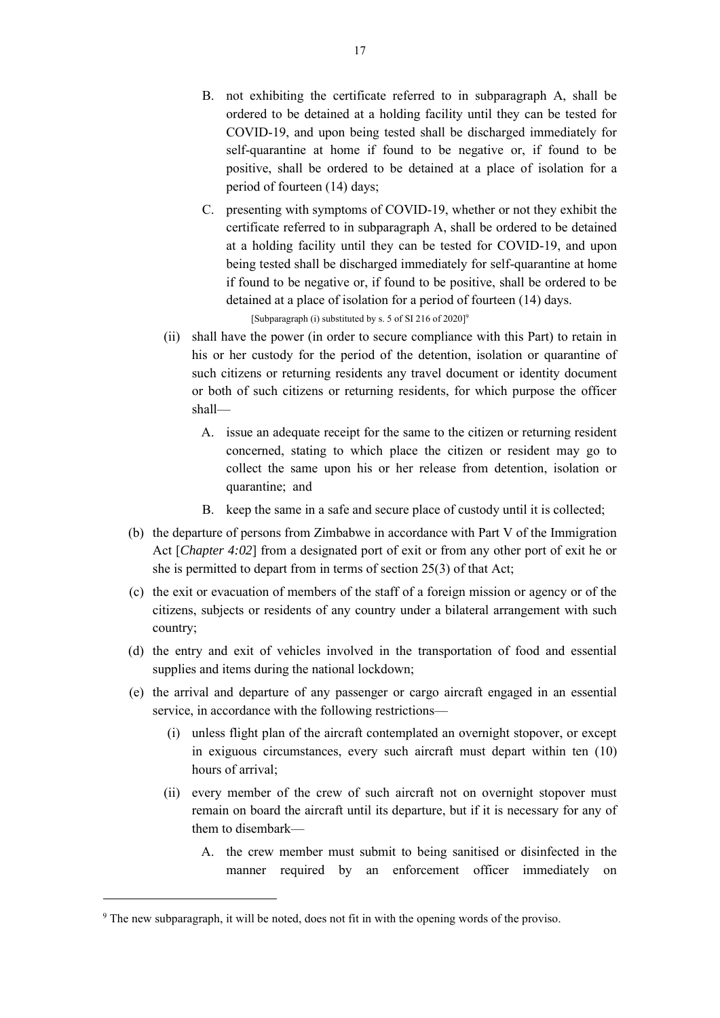- B. not exhibiting the certificate referred to in subparagraph A, shall be ordered to be detained at a holding facility until they can be tested for COVID-19, and upon being tested shall be discharged immediately for self-quarantine at home if found to be negative or, if found to be positive, shall be ordered to be detained at a place of isolation for a period of fourteen (14) days;
- C. presenting with symptoms of COVID-19, whether or not they exhibit the certificate referred to in subparagraph A, shall be ordered to be detained at a holding facility until they can be tested for COVID-19, and upon being tested shall be discharged immediately for self-quarantine at home if found to be negative or, if found to be positive, shall be ordered to be detained at a place of isolation for a period of fourteen (14) days.

[Subparagraph (i) substituted by s. 5 of SI 216 of 2020]<sup>9</sup>

- (ii) shall have the power (in order to secure compliance with this Part) to retain in his or her custody for the period of the detention, isolation or quarantine of such citizens or returning residents any travel document or identity document or both of such citizens or returning residents, for which purpose the officer shall—
	- A. issue an adequate receipt for the same to the citizen or returning resident concerned, stating to which place the citizen or resident may go to collect the same upon his or her release from detention, isolation or quarantine; and
	- B. keep the same in a safe and secure place of custody until it is collected;
- (b) the departure of persons from Zimbabwe in accordance with Part V of the Immigration Act [*Chapter 4:02*] from a designated port of exit or from any other port of exit he or she is permitted to depart from in terms of section 25(3) of that Act;
- (c) the exit or evacuation of members of the staff of a foreign mission or agency or of the citizens, subjects or residents of any country under a bilateral arrangement with such country;
- (d) the entry and exit of vehicles involved in the transportation of food and essential supplies and items during the national lockdown;
- (e) the arrival and departure of any passenger or cargo aircraft engaged in an essential service, in accordance with the following restrictions—
	- (i) unless flight plan of the aircraft contemplated an overnight stopover, or except in exiguous circumstances, every such aircraft must depart within ten (10) hours of arrival;
	- (ii) every member of the crew of such aircraft not on overnight stopover must remain on board the aircraft until its departure, but if it is necessary for any of them to disembark—
		- A. the crew member must submit to being sanitised or disinfected in the manner required by an enforcement officer immediately on

<sup>9</sup> The new subparagraph, it will be noted, does not fit in with the opening words of the proviso.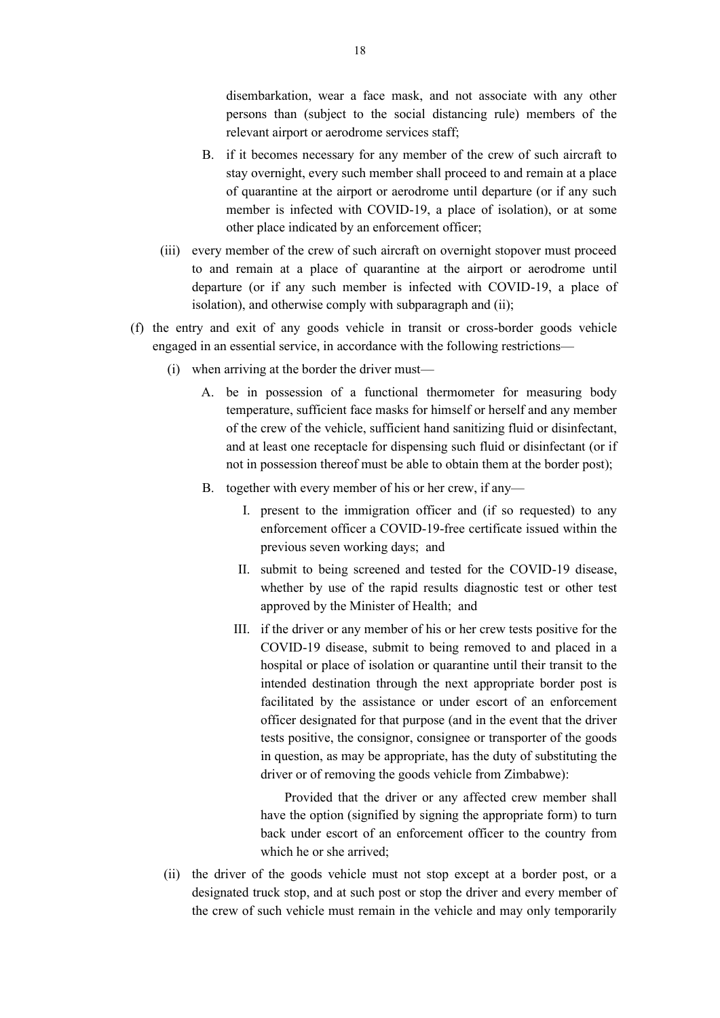disembarkation, wear a face mask, and not associate with any other persons than (subject to the social distancing rule) members of the relevant airport or aerodrome services staff;

- B. if it becomes necessary for any member of the crew of such aircraft to stay overnight, every such member shall proceed to and remain at a place of quarantine at the airport or aerodrome until departure (or if any such member is infected with COVID-19, a place of isolation), or at some other place indicated by an enforcement officer;
- (iii) every member of the crew of such aircraft on overnight stopover must proceed to and remain at a place of quarantine at the airport or aerodrome until departure (or if any such member is infected with COVID-19, a place of isolation), and otherwise comply with subparagraph and (ii);
- (f) the entry and exit of any goods vehicle in transit or cross-border goods vehicle engaged in an essential service, in accordance with the following restrictions—
	- (i) when arriving at the border the driver must—
		- A. be in possession of a functional thermometer for measuring body temperature, sufficient face masks for himself or herself and any member of the crew of the vehicle, sufficient hand sanitizing fluid or disinfectant, and at least one receptacle for dispensing such fluid or disinfectant (or if not in possession thereof must be able to obtain them at the border post);
		- B. together with every member of his or her crew, if any—
			- I. present to the immigration officer and (if so requested) to any enforcement officer a COVID-19-free certificate issued within the previous seven working days; and
			- II. submit to being screened and tested for the COVID-19 disease, whether by use of the rapid results diagnostic test or other test approved by the Minister of Health; and
			- III. if the driver or any member of his or her crew tests positive for the COVID-19 disease, submit to being removed to and placed in a hospital or place of isolation or quarantine until their transit to the intended destination through the next appropriate border post is facilitated by the assistance or under escort of an enforcement officer designated for that purpose (and in the event that the driver tests positive, the consignor, consignee or transporter of the goods in question, as may be appropriate, has the duty of substituting the driver or of removing the goods vehicle from Zimbabwe):

Provided that the driver or any affected crew member shall have the option (signified by signing the appropriate form) to turn back under escort of an enforcement officer to the country from which he or she arrived;

(ii) the driver of the goods vehicle must not stop except at a border post, or a designated truck stop, and at such post or stop the driver and every member of the crew of such vehicle must remain in the vehicle and may only temporarily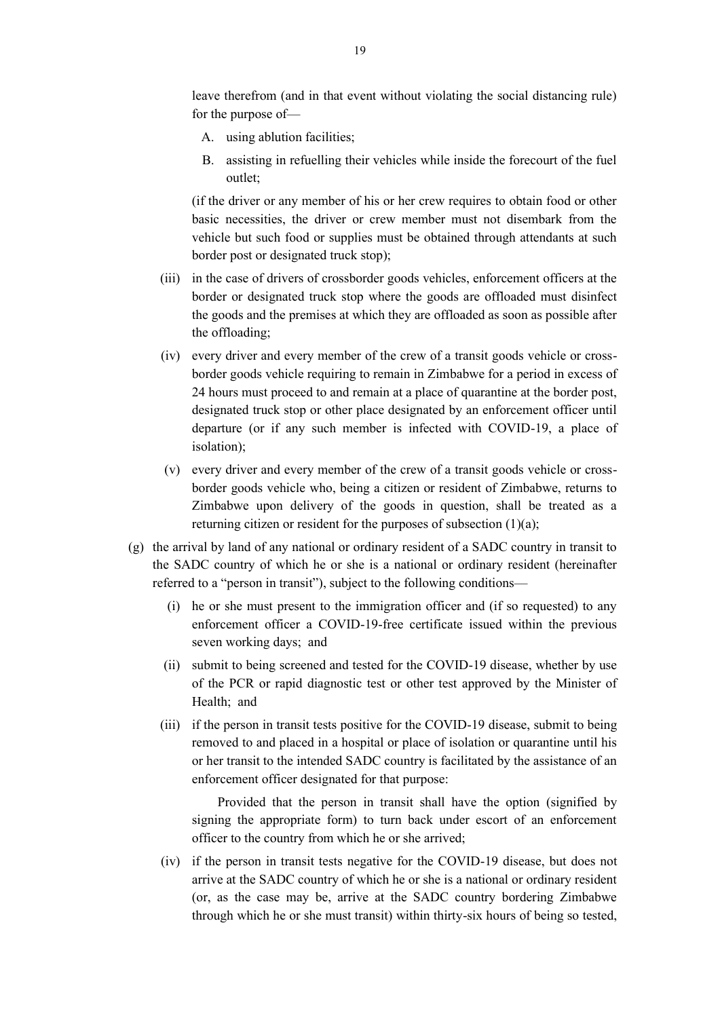leave therefrom (and in that event without violating the social distancing rule) for the purpose of—

- A. using ablution facilities;
- B. assisting in refuelling their vehicles while inside the forecourt of the fuel outlet;

(if the driver or any member of his or her crew requires to obtain food or other basic necessities, the driver or crew member must not disembark from the vehicle but such food or supplies must be obtained through attendants at such border post or designated truck stop);

- (iii) in the case of drivers of crossborder goods vehicles, enforcement officers at the border or designated truck stop where the goods are offloaded must disinfect the goods and the premises at which they are offloaded as soon as possible after the offloading;
- (iv) every driver and every member of the crew of a transit goods vehicle or crossborder goods vehicle requiring to remain in Zimbabwe for a period in excess of 24 hours must proceed to and remain at a place of quarantine at the border post, designated truck stop or other place designated by an enforcement officer until departure (or if any such member is infected with COVID-19, a place of isolation);
- (v) every driver and every member of the crew of a transit goods vehicle or crossborder goods vehicle who, being a citizen or resident of Zimbabwe, returns to Zimbabwe upon delivery of the goods in question, shall be treated as a returning citizen or resident for the purposes of subsection (1)(a);
- (g) the arrival by land of any national or ordinary resident of a SADC country in transit to the SADC country of which he or she is a national or ordinary resident (hereinafter referred to a "person in transit"), subject to the following conditions—
	- (i) he or she must present to the immigration officer and (if so requested) to any enforcement officer a COVID-19-free certificate issued within the previous seven working days; and
	- (ii) submit to being screened and tested for the COVID-19 disease, whether by use of the PCR or rapid diagnostic test or other test approved by the Minister of Health; and
	- (iii) if the person in transit tests positive for the COVID-19 disease, submit to being removed to and placed in a hospital or place of isolation or quarantine until his or her transit to the intended SADC country is facilitated by the assistance of an enforcement officer designated for that purpose:

Provided that the person in transit shall have the option (signified by signing the appropriate form) to turn back under escort of an enforcement officer to the country from which he or she arrived;

(iv) if the person in transit tests negative for the COVID-19 disease, but does not arrive at the SADC country of which he or she is a national or ordinary resident (or, as the case may be, arrive at the SADC country bordering Zimbabwe through which he or she must transit) within thirty-six hours of being so tested,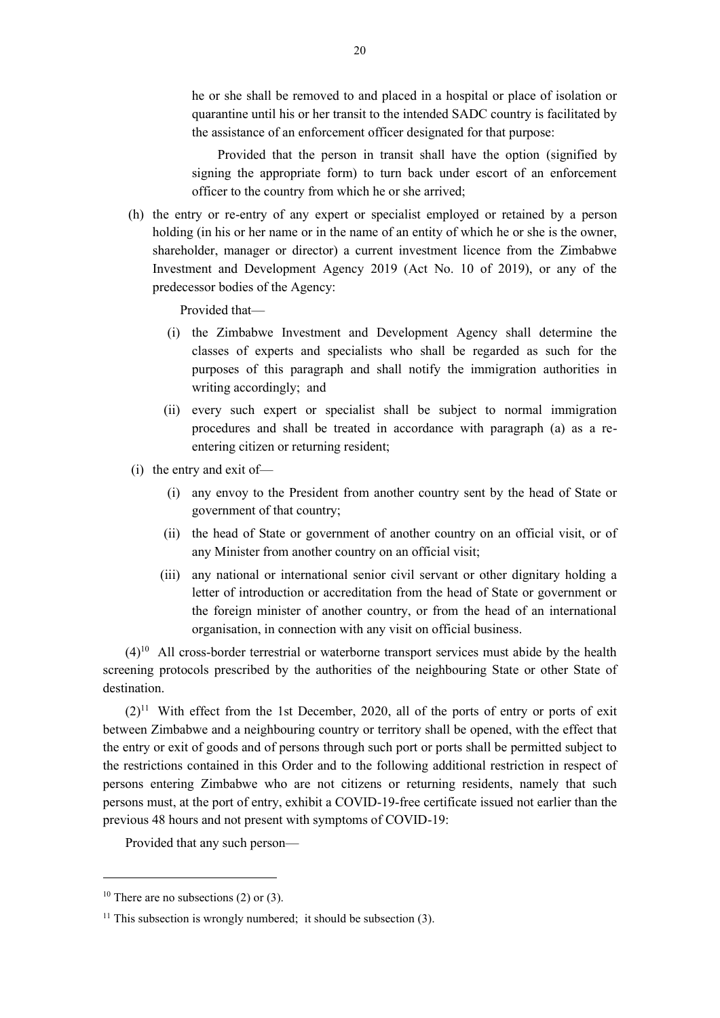he or she shall be removed to and placed in a hospital or place of isolation or quarantine until his or her transit to the intended SADC country is facilitated by the assistance of an enforcement officer designated for that purpose:

Provided that the person in transit shall have the option (signified by signing the appropriate form) to turn back under escort of an enforcement officer to the country from which he or she arrived;

(h) the entry or re-entry of any expert or specialist employed or retained by a person holding (in his or her name or in the name of an entity of which he or she is the owner, shareholder, manager or director) a current investment licence from the Zimbabwe Investment and Development Agency 2019 (Act No. 10 of 2019), or any of the predecessor bodies of the Agency:

Provided that—

- (i) the Zimbabwe Investment and Development Agency shall determine the classes of experts and specialists who shall be regarded as such for the purposes of this paragraph and shall notify the immigration authorities in writing accordingly; and
- (ii) every such expert or specialist shall be subject to normal immigration procedures and shall be treated in accordance with paragraph (a) as a reentering citizen or returning resident;
- (i) the entry and exit of—
	- (i) any envoy to the President from another country sent by the head of State or government of that country;
	- (ii) the head of State or government of another country on an official visit, or of any Minister from another country on an official visit;
	- (iii) any national or international senior civil servant or other dignitary holding a letter of introduction or accreditation from the head of State or government or the foreign minister of another country, or from the head of an international organisation, in connection with any visit on official business.

 $(4)^{10}$  All cross-border terrestrial or waterborne transport services must abide by the health screening protocols prescribed by the authorities of the neighbouring State or other State of destination.

 $(2)^{11}$  With effect from the 1st December, 2020, all of the ports of entry or ports of exit between Zimbabwe and a neighbouring country or territory shall be opened, with the effect that the entry or exit of goods and of persons through such port or ports shall be permitted subject to the restrictions contained in this Order and to the following additional restriction in respect of persons entering Zimbabwe who are not citizens or returning residents, namely that such persons must, at the port of entry, exhibit a COVID-19-free certificate issued not earlier than the previous 48 hours and not present with symptoms of COVID-19:

Provided that any such person—

<sup>&</sup>lt;sup>10</sup> There are no subsections (2) or (3).

 $11$  This subsection is wrongly numbered; it should be subsection (3).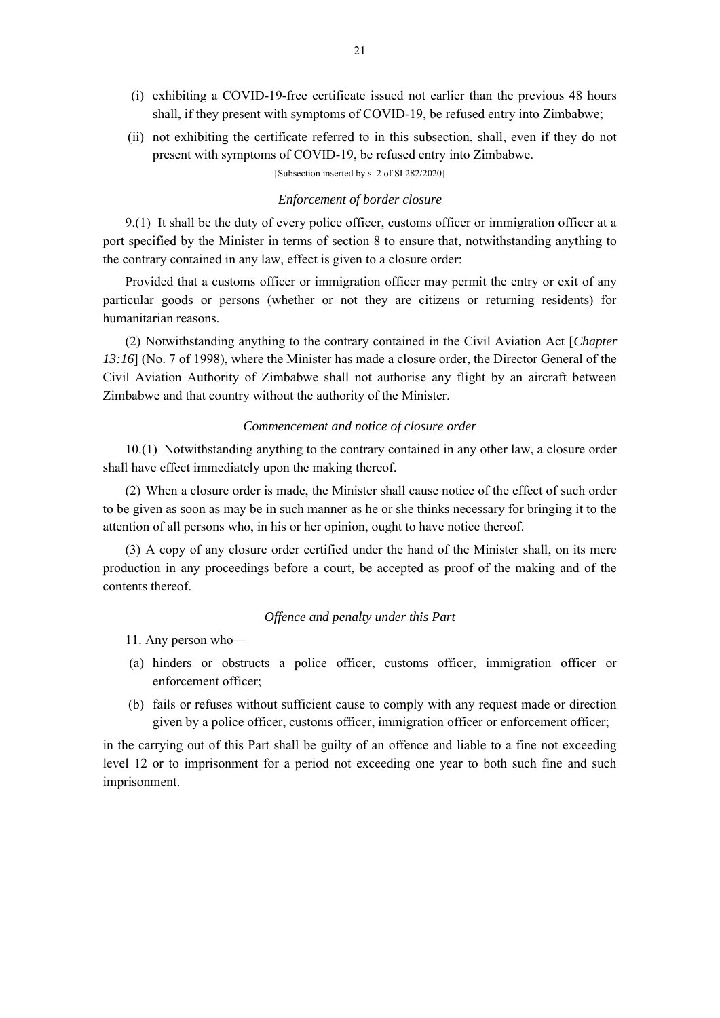- (i) exhibiting a COVID-19-free certificate issued not earlier than the previous 48 hours shall, if they present with symptoms of COVID-19, be refused entry into Zimbabwe;
- (ii) not exhibiting the certificate referred to in this subsection, shall, even if they do not present with symptoms of COVID-19, be refused entry into Zimbabwe.

[Subsection inserted by s. 2 of SI 282/2020]

#### *Enforcement of border closure*

9.(1) It shall be the duty of every police officer, customs officer or immigration officer at a port specified by the Minister in terms of section 8 to ensure that, notwithstanding anything to the contrary contained in any law, effect is given to a closure order:

Provided that a customs officer or immigration officer may permit the entry or exit of any particular goods or persons (whether or not they are citizens or returning residents) for humanitarian reasons.

(2) Notwithstanding anything to the contrary contained in the Civil Aviation Act [*Chapter 13:16*] (No. 7 of 1998), where the Minister has made a closure order, the Director General of the Civil Aviation Authority of Zimbabwe shall not authorise any flight by an aircraft between Zimbabwe and that country without the authority of the Minister.

#### *Commencement and notice of closure order*

10.(1) Notwithstanding anything to the contrary contained in any other law, a closure order shall have effect immediately upon the making thereof.

(2) When a closure order is made, the Minister shall cause notice of the effect of such order to be given as soon as may be in such manner as he or she thinks necessary for bringing it to the attention of all persons who, in his or her opinion, ought to have notice thereof.

(3) A copy of any closure order certified under the hand of the Minister shall, on its mere production in any proceedings before a court, be accepted as proof of the making and of the contents thereof.

### *Offence and penalty under this Part*

11. Any person who—

- (a) hinders or obstructs a police officer, customs officer, immigration officer or enforcement officer;
- (b) fails or refuses without sufficient cause to comply with any request made or direction given by a police officer, customs officer, immigration officer or enforcement officer;

in the carrying out of this Part shall be guilty of an offence and liable to a fine not exceeding level 12 or to imprisonment for a period not exceeding one year to both such fine and such imprisonment.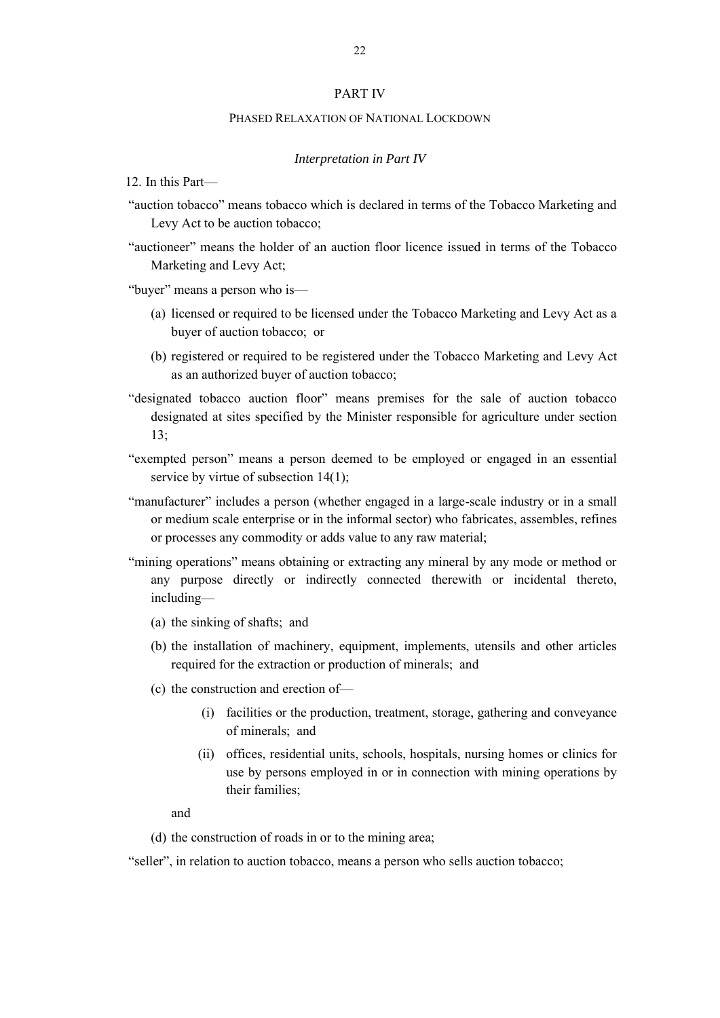### PART IV

#### PHASED RELAXATION OF NATIONAL LOCKDOWN

#### *Interpretation in Part IV*

12. In this Part—

- "auction tobacco" means tobacco which is declared in terms of the Tobacco Marketing and Levy Act to be auction tobacco;
- "auctioneer" means the holder of an auction floor licence issued in terms of the Tobacco Marketing and Levy Act;

"buyer" means a person who is—

- (a) licensed or required to be licensed under the Tobacco Marketing and Levy Act as a buyer of auction tobacco; or
- (b) registered or required to be registered under the Tobacco Marketing and Levy Act as an authorized buyer of auction tobacco;
- "designated tobacco auction floor" means premises for the sale of auction tobacco designated at sites specified by the Minister responsible for agriculture under section 13;
- "exempted person" means a person deemed to be employed or engaged in an essential service by virtue of subsection 14(1);
- "manufacturer" includes a person (whether engaged in a large-scale industry or in a small or medium scale enterprise or in the informal sector) who fabricates, assembles, refines or processes any commodity or adds value to any raw material;
- "mining operations" means obtaining or extracting any mineral by any mode or method or any purpose directly or indirectly connected therewith or incidental thereto, including—
	- (a) the sinking of shafts; and
	- (b) the installation of machinery, equipment, implements, utensils and other articles required for the extraction or production of minerals; and
	- (c) the construction and erection of—
		- (i) facilities or the production, treatment, storage, gathering and conveyance of minerals; and
		- (ii) offices, residential units, schools, hospitals, nursing homes or clinics for use by persons employed in or in connection with mining operations by their families;

and

(d) the construction of roads in or to the mining area;

<sup>&</sup>quot;seller", in relation to auction tobacco, means a person who sells auction tobacco;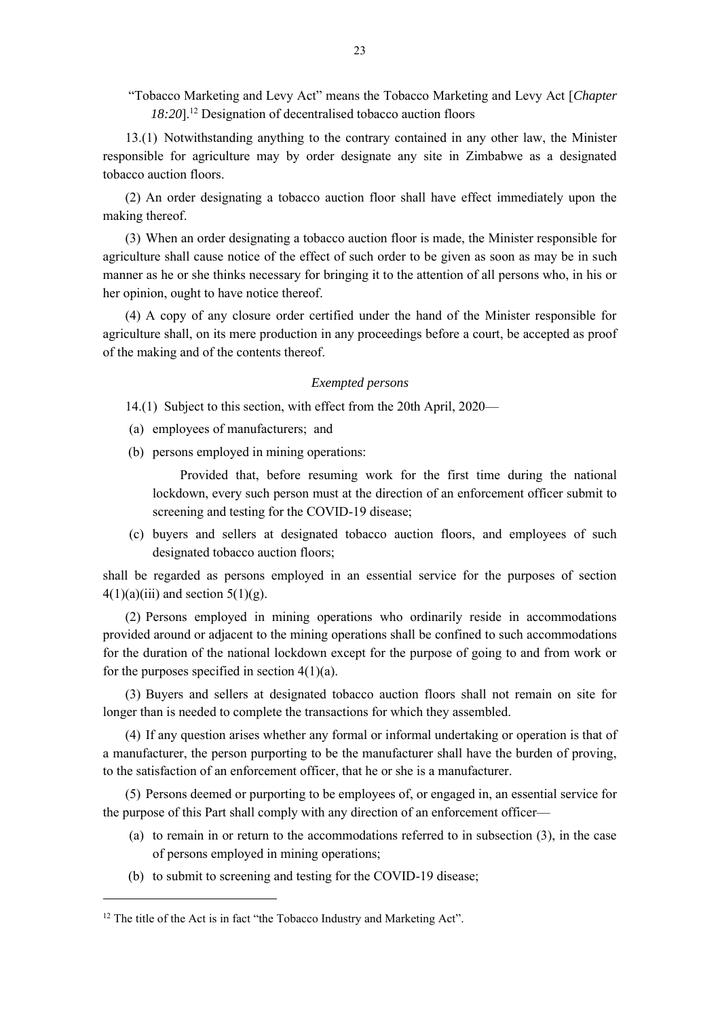"Tobacco Marketing and Levy Act" means the Tobacco Marketing and Levy Act [*Chapter 18:20*].<sup>12</sup> Designation of decentralised tobacco auction floors

13.(1) Notwithstanding anything to the contrary contained in any other law, the Minister responsible for agriculture may by order designate any site in Zimbabwe as a designated tobacco auction floors.

(2) An order designating a tobacco auction floor shall have effect immediately upon the making thereof.

(3) When an order designating a tobacco auction floor is made, the Minister responsible for agriculture shall cause notice of the effect of such order to be given as soon as may be in such manner as he or she thinks necessary for bringing it to the attention of all persons who, in his or her opinion, ought to have notice thereof.

(4) A copy of any closure order certified under the hand of the Minister responsible for agriculture shall, on its mere production in any proceedings before a court, be accepted as proof of the making and of the contents thereof.

### *Exempted persons*

14.(1) Subject to this section, with effect from the 20th April, 2020—

- (a) employees of manufacturers; and
- (b) persons employed in mining operations:

Provided that, before resuming work for the first time during the national lockdown, every such person must at the direction of an enforcement officer submit to screening and testing for the COVID-19 disease;

(c) buyers and sellers at designated tobacco auction floors, and employees of such designated tobacco auction floors;

shall be regarded as persons employed in an essential service for the purposes of section  $4(1)(a)(iii)$  and section  $5(1)(g)$ .

(2) Persons employed in mining operations who ordinarily reside in accommodations provided around or adjacent to the mining operations shall be confined to such accommodations for the duration of the national lockdown except for the purpose of going to and from work or for the purposes specified in section  $4(1)(a)$ .

(3) Buyers and sellers at designated tobacco auction floors shall not remain on site for longer than is needed to complete the transactions for which they assembled.

(4) If any question arises whether any formal or informal undertaking or operation is that of a manufacturer, the person purporting to be the manufacturer shall have the burden of proving, to the satisfaction of an enforcement officer, that he or she is a manufacturer.

(5) Persons deemed or purporting to be employees of, or engaged in, an essential service for the purpose of this Part shall comply with any direction of an enforcement officer—

- (a) to remain in or return to the accommodations referred to in subsection (3), in the case of persons employed in mining operations;
- (b) to submit to screening and testing for the COVID-19 disease;

<sup>&</sup>lt;sup>12</sup> The title of the Act is in fact "the Tobacco Industry and Marketing Act".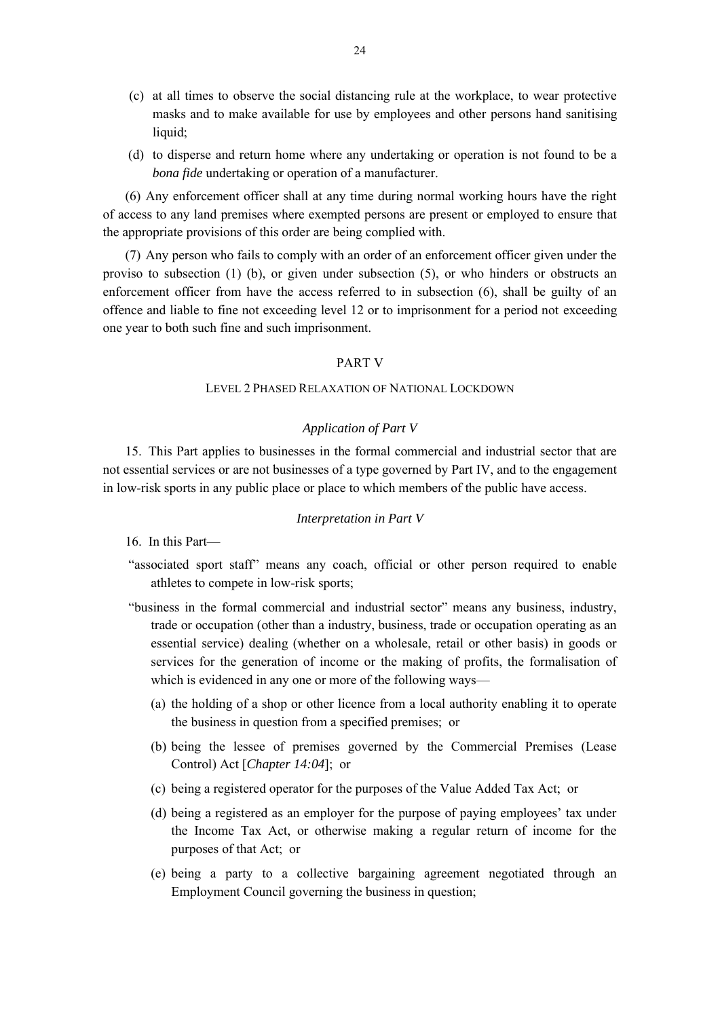- (c) at all times to observe the social distancing rule at the workplace, to wear protective masks and to make available for use by employees and other persons hand sanitising liquid;
- (d) to disperse and return home where any undertaking or operation is not found to be a *bona fide* undertaking or operation of a manufacturer.

(6) Any enforcement officer shall at any time during normal working hours have the right of access to any land premises where exempted persons are present or employed to ensure that the appropriate provisions of this order are being complied with.

(7) Any person who fails to comply with an order of an enforcement officer given under the proviso to subsection  $(1)$  (b), or given under subsection  $(5)$ , or who hinders or obstructs an enforcement officer from have the access referred to in subsection (6), shall be guilty of an offence and liable to fine not exceeding level 12 or to imprisonment for a period not exceeding one year to both such fine and such imprisonment.

# PART V

### LEVEL 2 PHASED RELAXATION OF NATIONAL LOCKDOWN

### *Application of Part V*

15. This Part applies to businesses in the formal commercial and industrial sector that are not essential services or are not businesses of a type governed by Part IV, and to the engagement in low-risk sports in any public place or place to which members of the public have access.

#### *Interpretation in Part V*

16. In this Part—

- "associated sport staff" means any coach, official or other person required to enable athletes to compete in low-risk sports;
- "business in the formal commercial and industrial sector" means any business, industry, trade or occupation (other than a industry, business, trade or occupation operating as an essential service) dealing (whether on a wholesale, retail or other basis) in goods or services for the generation of income or the making of profits, the formalisation of which is evidenced in any one or more of the following ways—
	- (a) the holding of a shop or other licence from a local authority enabling it to operate the business in question from a specified premises; or
	- (b) being the lessee of premises governed by the Commercial Premises (Lease Control) Act [*Chapter 14:04*]; or
	- (c) being a registered operator for the purposes of the Value Added Tax Act; or
	- (d) being a registered as an employer for the purpose of paying employees' tax under the Income Tax Act, or otherwise making a regular return of income for the purposes of that Act; or
	- (e) being a party to a collective bargaining agreement negotiated through an Employment Council governing the business in question;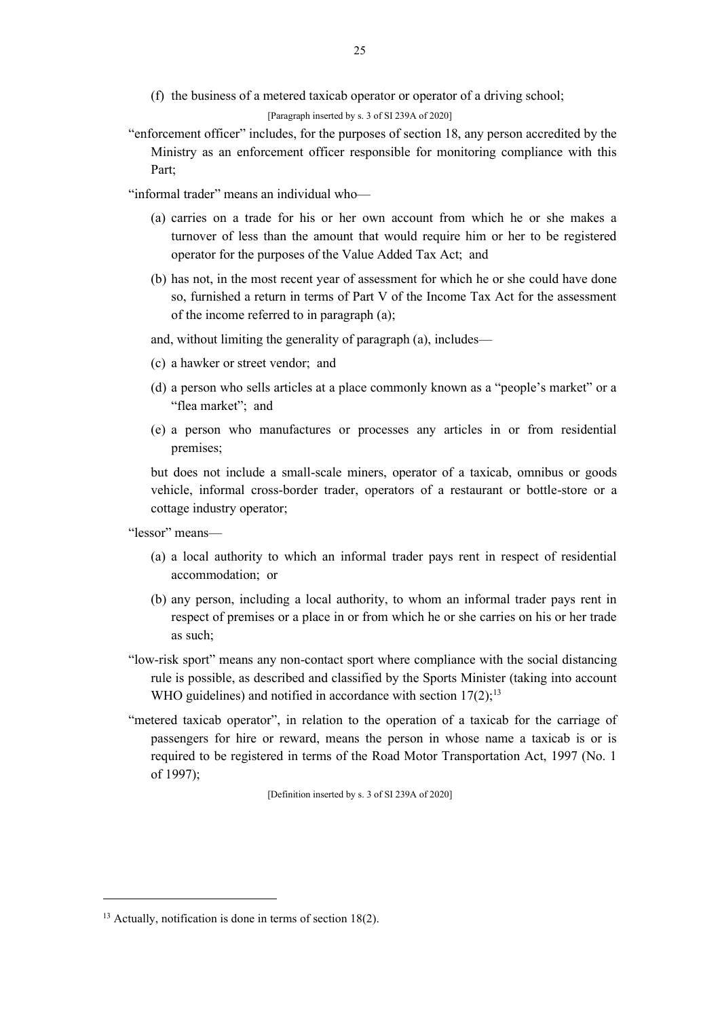(f) the business of a metered taxicab operator or operator of a driving school;

[Paragraph inserted by s. 3 of SI 239A of 2020]

"enforcement officer" includes, for the purposes of section 18, any person accredited by the Ministry as an enforcement officer responsible for monitoring compliance with this Part;

"informal trader" means an individual who—

- (a) carries on a trade for his or her own account from which he or she makes a turnover of less than the amount that would require him or her to be registered operator for the purposes of the Value Added Tax Act; and
- (b) has not, in the most recent year of assessment for which he or she could have done so, furnished a return in terms of Part V of the Income Tax Act for the assessment of the income referred to in paragraph (a);

and, without limiting the generality of paragraph (a), includes—

- (c) a hawker or street vendor; and
- (d) a person who sells articles at a place commonly known as a "people's market" or a "flea market"; and
- (e) a person who manufactures or processes any articles in or from residential premises;

but does not include a small-scale miners, operator of a taxicab, omnibus or goods vehicle, informal cross-border trader, operators of a restaurant or bottle-store or a cottage industry operator;

"lessor" means—

- (a) a local authority to which an informal trader pays rent in respect of residential accommodation; or
- (b) any person, including a local authority, to whom an informal trader pays rent in respect of premises or a place in or from which he or she carries on his or her trade as such;
- "low-risk sport" means any non-contact sport where compliance with the social distancing rule is possible, as described and classified by the Sports Minister (taking into account WHO guidelines) and notified in accordance with section  $17(2)$ ;<sup>13</sup>
- "metered taxicab operator", in relation to the operation of a taxicab for the carriage of passengers for hire or reward, means the person in whose name a taxicab is or is required to be registered in terms of the Road Motor Transportation Act, 1997 (No. 1 of 1997);

[Definition inserted by s. 3 of SI 239A of 2020]

<sup>&</sup>lt;sup>13</sup> Actually, notification is done in terms of section 18(2).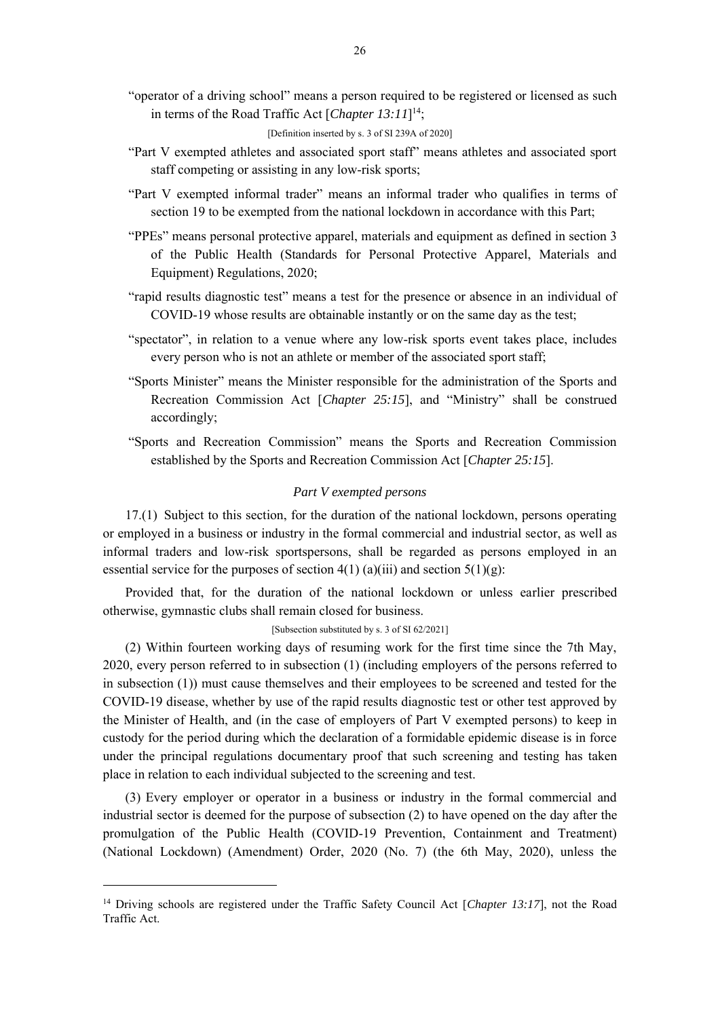"operator of a driving school" means a person required to be registered or licensed as such in terms of the Road Traffic Act [*Chapter 13:11*] 14;

[Definition inserted by s. 3 of SI 239A of 2020]

- "Part V exempted athletes and associated sport staff" means athletes and associated sport staff competing or assisting in any low-risk sports;
- "Part V exempted informal trader" means an informal trader who qualifies in terms of section 19 to be exempted from the national lockdown in accordance with this Part;
- "PPEs" means personal protective apparel, materials and equipment as defined in section 3 of the Public Health (Standards for Personal Protective Apparel, Materials and Equipment) Regulations, 2020;
- "rapid results diagnostic test" means a test for the presence or absence in an individual of COVID-19 whose results are obtainable instantly or on the same day as the test;
- "spectator", in relation to a venue where any low-risk sports event takes place, includes every person who is not an athlete or member of the associated sport staff;
- "Sports Minister" means the Minister responsible for the administration of the Sports and Recreation Commission Act [*Chapter 25:15*], and "Ministry" shall be construed accordingly;
- "Sports and Recreation Commission" means the Sports and Recreation Commission established by the Sports and Recreation Commission Act [*Chapter 25:15*].

### *Part V exempted persons*

17.(1) Subject to this section, for the duration of the national lockdown, persons operating or employed in a business or industry in the formal commercial and industrial sector, as well as informal traders and low-risk sportspersons, shall be regarded as persons employed in an essential service for the purposes of section  $4(1)$  (a)(iii) and section  $5(1)(g)$ :

Provided that, for the duration of the national lockdown or unless earlier prescribed otherwise, gymnastic clubs shall remain closed for business.

[Subsection substituted by s. 3 of SI 62/2021]

(2) Within fourteen working days of resuming work for the first time since the 7th May, 2020, every person referred to in subsection (1) (including employers of the persons referred to in subsection (1)) must cause themselves and their employees to be screened and tested for the COVID-19 disease, whether by use of the rapid results diagnostic test or other test approved by the Minister of Health, and (in the case of employers of Part V exempted persons) to keep in custody for the period during which the declaration of a formidable epidemic disease is in force under the principal regulations documentary proof that such screening and testing has taken place in relation to each individual subjected to the screening and test.

(3) Every employer or operator in a business or industry in the formal commercial and industrial sector is deemed for the purpose of subsection (2) to have opened on the day after the promulgation of the Public Health (COVID-19 Prevention, Containment and Treatment) (National Lockdown) (Amendment) Order, 2020 (No. 7) (the 6th May, 2020), unless the

<sup>&</sup>lt;sup>14</sup> Driving schools are registered under the Traffic Safety Council Act [*Chapter 13:17*], not the Road Traffic Act.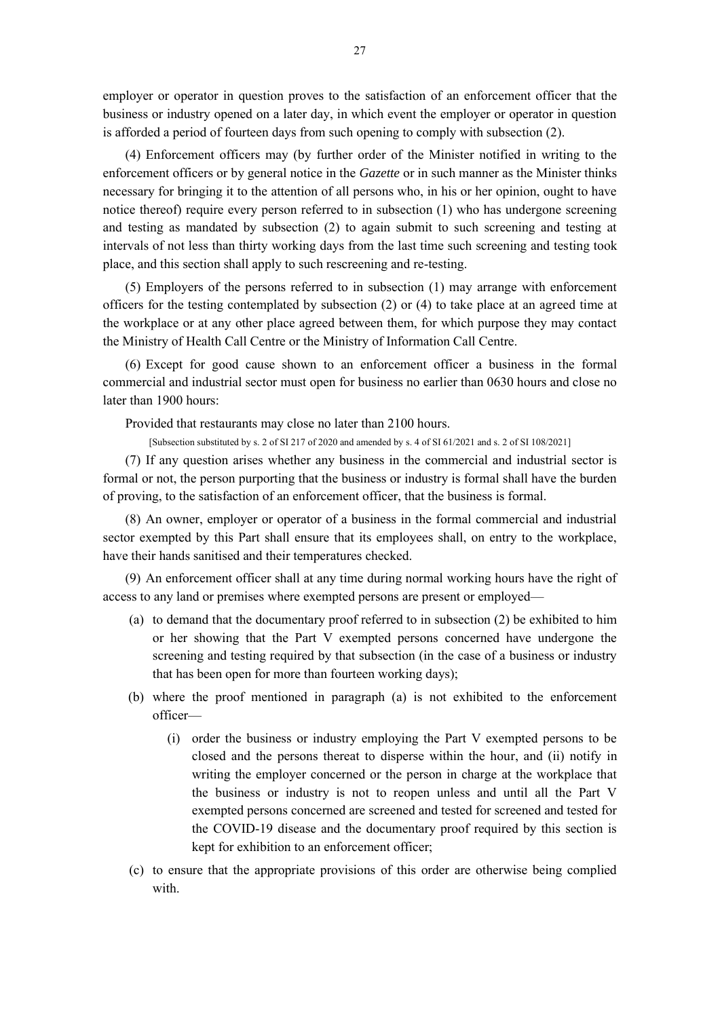employer or operator in question proves to the satisfaction of an enforcement officer that the business or industry opened on a later day, in which event the employer or operator in question is afforded a period of fourteen days from such opening to comply with subsection (2).

(4) Enforcement officers may (by further order of the Minister notified in writing to the enforcement officers or by general notice in the *Gazette* or in such manner as the Minister thinks necessary for bringing it to the attention of all persons who, in his or her opinion, ought to have notice thereof) require every person referred to in subsection (1) who has undergone screening and testing as mandated by subsection (2) to again submit to such screening and testing at intervals of not less than thirty working days from the last time such screening and testing took place, and this section shall apply to such rescreening and re-testing.

(5) Employers of the persons referred to in subsection (1) may arrange with enforcement officers for the testing contemplated by subsection (2) or (4) to take place at an agreed time at the workplace or at any other place agreed between them, for which purpose they may contact the Ministry of Health Call Centre or the Ministry of Information Call Centre.

(6) Except for good cause shown to an enforcement officer a business in the formal commercial and industrial sector must open for business no earlier than 0630 hours and close no later than 1900 hours:

Provided that restaurants may close no later than 2100 hours.

[Subsection substituted by s. 2 of SI 217 of 2020 and amended by s. 4 of SI 61/2021 and s. 2 of SI 108/2021]

(7) If any question arises whether any business in the commercial and industrial sector is formal or not, the person purporting that the business or industry is formal shall have the burden of proving, to the satisfaction of an enforcement officer, that the business is formal.

(8) An owner, employer or operator of a business in the formal commercial and industrial sector exempted by this Part shall ensure that its employees shall, on entry to the workplace, have their hands sanitised and their temperatures checked.

(9) An enforcement officer shall at any time during normal working hours have the right of access to any land or premises where exempted persons are present or employed—

- (a) to demand that the documentary proof referred to in subsection (2) be exhibited to him or her showing that the Part V exempted persons concerned have undergone the screening and testing required by that subsection (in the case of a business or industry that has been open for more than fourteen working days);
- (b) where the proof mentioned in paragraph (a) is not exhibited to the enforcement officer—
	- (i) order the business or industry employing the Part V exempted persons to be closed and the persons thereat to disperse within the hour, and (ii) notify in writing the employer concerned or the person in charge at the workplace that the business or industry is not to reopen unless and until all the Part V exempted persons concerned are screened and tested for screened and tested for the COVID-19 disease and the documentary proof required by this section is kept for exhibition to an enforcement officer;
- (c) to ensure that the appropriate provisions of this order are otherwise being complied with.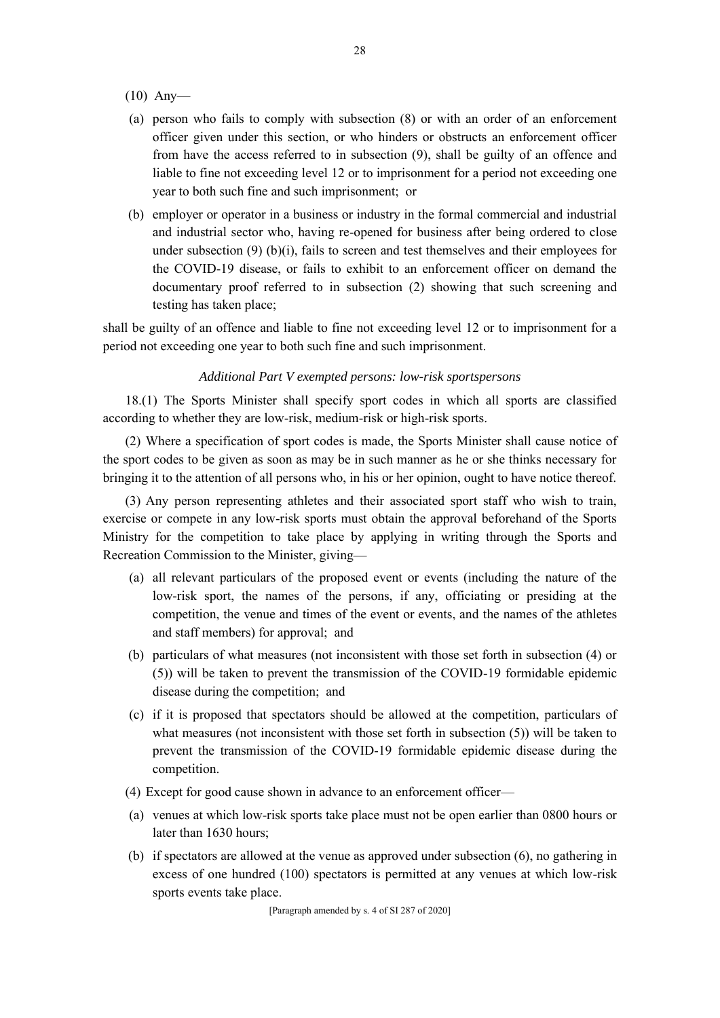- (10) Any—
- (a) person who fails to comply with subsection (8) or with an order of an enforcement officer given under this section, or who hinders or obstructs an enforcement officer from have the access referred to in subsection (9), shall be guilty of an offence and liable to fine not exceeding level 12 or to imprisonment for a period not exceeding one year to both such fine and such imprisonment; or
- (b) employer or operator in a business or industry in the formal commercial and industrial and industrial sector who, having re-opened for business after being ordered to close under subsection  $(9)$  (b) $(i)$ , fails to screen and test themselves and their employees for the COVID-19 disease, or fails to exhibit to an enforcement officer on demand the documentary proof referred to in subsection (2) showing that such screening and testing has taken place;

shall be guilty of an offence and liable to fine not exceeding level 12 or to imprisonment for a period not exceeding one year to both such fine and such imprisonment.

### *Additional Part V exempted persons: low-risk sportspersons*

18.(1) The Sports Minister shall specify sport codes in which all sports are classified according to whether they are low-risk, medium-risk or high-risk sports.

(2) Where a specification of sport codes is made, the Sports Minister shall cause notice of the sport codes to be given as soon as may be in such manner as he or she thinks necessary for bringing it to the attention of all persons who, in his or her opinion, ought to have notice thereof.

(3) Any person representing athletes and their associated sport staff who wish to train, exercise or compete in any low-risk sports must obtain the approval beforehand of the Sports Ministry for the competition to take place by applying in writing through the Sports and Recreation Commission to the Minister, giving—

- (a) all relevant particulars of the proposed event or events (including the nature of the low-risk sport, the names of the persons, if any, officiating or presiding at the competition, the venue and times of the event or events, and the names of the athletes and staff members) for approval; and
- (b) particulars of what measures (not inconsistent with those set forth in subsection (4) or (5)) will be taken to prevent the transmission of the COVID-19 formidable epidemic disease during the competition; and
- (c) if it is proposed that spectators should be allowed at the competition, particulars of what measures (not inconsistent with those set forth in subsection (5)) will be taken to prevent the transmission of the COVID-19 formidable epidemic disease during the competition.
- (4) Except for good cause shown in advance to an enforcement officer—
- (a) venues at which low-risk sports take place must not be open earlier than 0800 hours or later than 1630 hours;
- (b) if spectators are allowed at the venue as approved under subsection (6), no gathering in excess of one hundred (100) spectators is permitted at any venues at which low-risk sports events take place.

[Paragraph amended by s. 4 of SI 287 of 2020]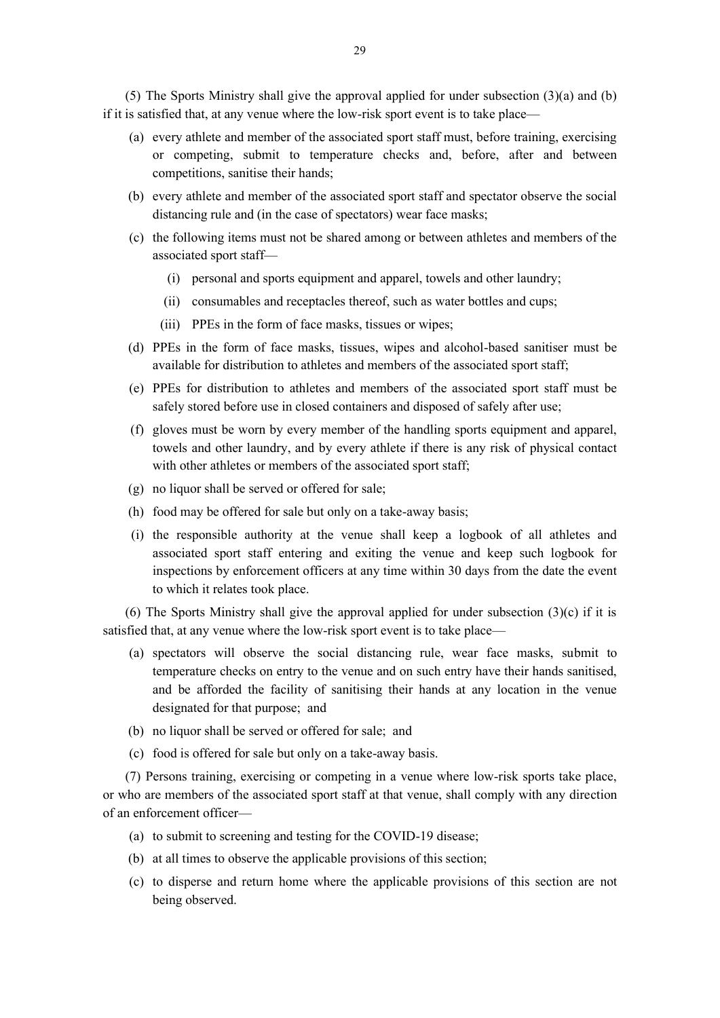(5) The Sports Ministry shall give the approval applied for under subsection (3)(a) and (b) if it is satisfied that, at any venue where the low-risk sport event is to take place—

- (a) every athlete and member of the associated sport staff must, before training, exercising or competing, submit to temperature checks and, before, after and between competitions, sanitise their hands;
- (b) every athlete and member of the associated sport staff and spectator observe the social distancing rule and (in the case of spectators) wear face masks;
- (c) the following items must not be shared among or between athletes and members of the associated sport staff—
	- (i) personal and sports equipment and apparel, towels and other laundry;
	- (ii) consumables and receptacles thereof, such as water bottles and cups;
	- (iii) PPEs in the form of face masks, tissues or wipes;
- (d) PPEs in the form of face masks, tissues, wipes and alcohol-based sanitiser must be available for distribution to athletes and members of the associated sport staff;
- (e) PPEs for distribution to athletes and members of the associated sport staff must be safely stored before use in closed containers and disposed of safely after use;
- (f) gloves must be worn by every member of the handling sports equipment and apparel, towels and other laundry, and by every athlete if there is any risk of physical contact with other athletes or members of the associated sport staff;
- (g) no liquor shall be served or offered for sale;
- (h) food may be offered for sale but only on a take-away basis;
- (i) the responsible authority at the venue shall keep a logbook of all athletes and associated sport staff entering and exiting the venue and keep such logbook for inspections by enforcement officers at any time within 30 days from the date the event to which it relates took place.

(6) The Sports Ministry shall give the approval applied for under subsection  $(3)(c)$  if it is satisfied that, at any venue where the low-risk sport event is to take place—

- (a) spectators will observe the social distancing rule, wear face masks, submit to temperature checks on entry to the venue and on such entry have their hands sanitised, and be afforded the facility of sanitising their hands at any location in the venue designated for that purpose; and
- (b) no liquor shall be served or offered for sale; and
- (c) food is offered for sale but only on a take-away basis.

(7) Persons training, exercising or competing in a venue where low-risk sports take place, or who are members of the associated sport staff at that venue, shall comply with any direction of an enforcement officer—

- (a) to submit to screening and testing for the COVID-19 disease;
- (b) at all times to observe the applicable provisions of this section;
- (c) to disperse and return home where the applicable provisions of this section are not being observed.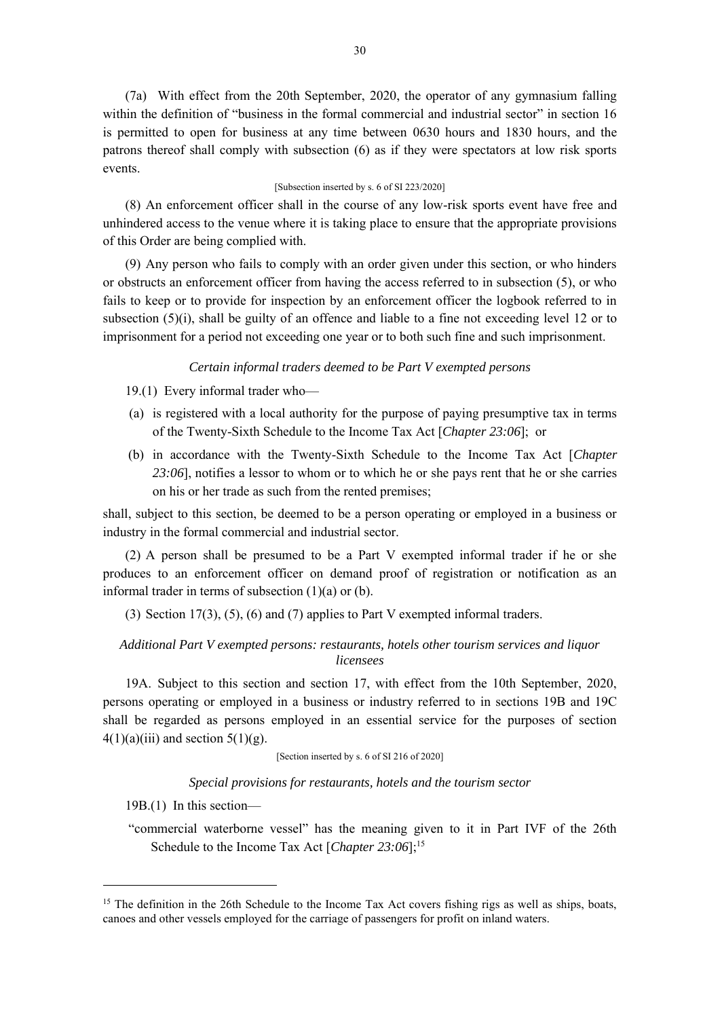(7a) With effect from the 20th September, 2020, the operator of any gymnasium falling within the definition of "business in the formal commercial and industrial sector" in section 16 is permitted to open for business at any time between 0630 hours and 1830 hours, and the patrons thereof shall comply with subsection (6) as if they were spectators at low risk sports events.

### [Subsection inserted by s. 6 of SI 223/2020]

(8) An enforcement officer shall in the course of any low-risk sports event have free and unhindered access to the venue where it is taking place to ensure that the appropriate provisions of this Order are being complied with.

(9) Any person who fails to comply with an order given under this section, or who hinders or obstructs an enforcement officer from having the access referred to in subsection (5), or who fails to keep or to provide for inspection by an enforcement officer the logbook referred to in subsection  $(5)(i)$ , shall be guilty of an offence and liable to a fine not exceeding level 12 or to imprisonment for a period not exceeding one year or to both such fine and such imprisonment.

### *Certain informal traders deemed to be Part V exempted persons*

- 19.(1) Every informal trader who—
- (a) is registered with a local authority for the purpose of paying presumptive tax in terms of the Twenty-Sixth Schedule to the Income Tax Act [*Chapter 23:06*]; or
- (b) in accordance with the Twenty-Sixth Schedule to the Income Tax Act [*Chapter 23:06*], notifies a lessor to whom or to which he or she pays rent that he or she carries on his or her trade as such from the rented premises;

shall, subject to this section, be deemed to be a person operating or employed in a business or industry in the formal commercial and industrial sector.

(2) A person shall be presumed to be a Part V exempted informal trader if he or she produces to an enforcement officer on demand proof of registration or notification as an informal trader in terms of subsection  $(1)(a)$  or  $(b)$ .

(3) Section  $17(3)$ ,  $(5)$ ,  $(6)$  and  $(7)$  applies to Part V exempted informal traders.

# *Additional Part V exempted persons: restaurants, hotels other tourism services and liquor licensees*

19A. Subject to this section and section 17, with effect from the 10th September, 2020, persons operating or employed in a business or industry referred to in sections 19B and 19C shall be regarded as persons employed in an essential service for the purposes of section  $4(1)(a)(iii)$  and section  $5(1)(g)$ .

[Section inserted by s. 6 of SI 216 of 2020]

*Special provisions for restaurants, hotels and the tourism sector*

19B.(1) In this section—

"commercial waterborne vessel" has the meaning given to it in Part IVF of the 26th Schedule to the Income Tax Act [*Chapter 23:06*];<sup>15</sup>

 $15$  The definition in the 26th Schedule to the Income Tax Act covers fishing rigs as well as ships, boats, canoes and other vessels employed for the carriage of passengers for profit on inland waters.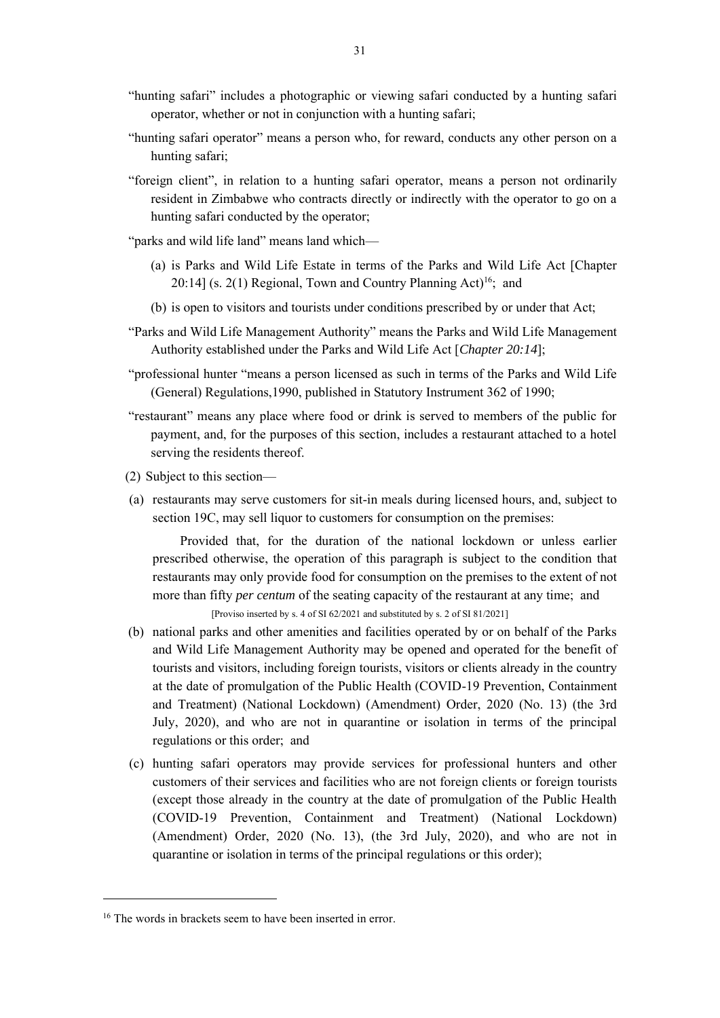- "hunting safari" includes a photographic or viewing safari conducted by a hunting safari operator, whether or not in conjunction with a hunting safari;
- "hunting safari operator" means a person who, for reward, conducts any other person on a hunting safari;
- "foreign client", in relation to a hunting safari operator, means a person not ordinarily resident in Zimbabwe who contracts directly or indirectly with the operator to go on a hunting safari conducted by the operator;
- "parks and wild life land" means land which—
	- (a) is Parks and Wild Life Estate in terms of the Parks and Wild Life Act [Chapter 20:14] (s. 2(1) Regional, Town and Country Planning Act)<sup>16</sup>; and
	- (b) is open to visitors and tourists under conditions prescribed by or under that Act;
- "Parks and Wild Life Management Authority" means the Parks and Wild Life Management Authority established under the Parks and Wild Life Act [*Chapter 20:14*];
- "professional hunter "means a person licensed as such in terms of the Parks and Wild Life (General) Regulations,1990, published in Statutory Instrument 362 of 1990;
- "restaurant" means any place where food or drink is served to members of the public for payment, and, for the purposes of this section, includes a restaurant attached to a hotel serving the residents thereof.
- (2) Subject to this section—
- (a) restaurants may serve customers for sit-in meals during licensed hours, and, subject to section 19C, may sell liquor to customers for consumption on the premises:

Provided that, for the duration of the national lockdown or unless earlier prescribed otherwise, the operation of this paragraph is subject to the condition that restaurants may only provide food for consumption on the premises to the extent of not more than fifty *per centum* of the seating capacity of the restaurant at any time; and [Proviso inserted by s. 4 of SI 62/2021 and substituted by s. 2 of SI 81/2021]

- (b) national parks and other amenities and facilities operated by or on behalf of the Parks and Wild Life Management Authority may be opened and operated for the benefit of tourists and visitors, including foreign tourists, visitors or clients already in the country at the date of promulgation of the Public Health (COVID-19 Prevention, Containment and Treatment) (National Lockdown) (Amendment) Order, 2020 (No. 13) (the 3rd July, 2020), and who are not in quarantine or isolation in terms of the principal regulations or this order; and
- (c) hunting safari operators may provide services for professional hunters and other customers of their services and facilities who are not foreign clients or foreign tourists (except those already in the country at the date of promulgation of the Public Health (COVID-19 Prevention, Containment and Treatment) (National Lockdown) (Amendment) Order, 2020 (No. 13), (the 3rd July, 2020), and who are not in quarantine or isolation in terms of the principal regulations or this order);

<sup>&</sup>lt;sup>16</sup> The words in brackets seem to have been inserted in error.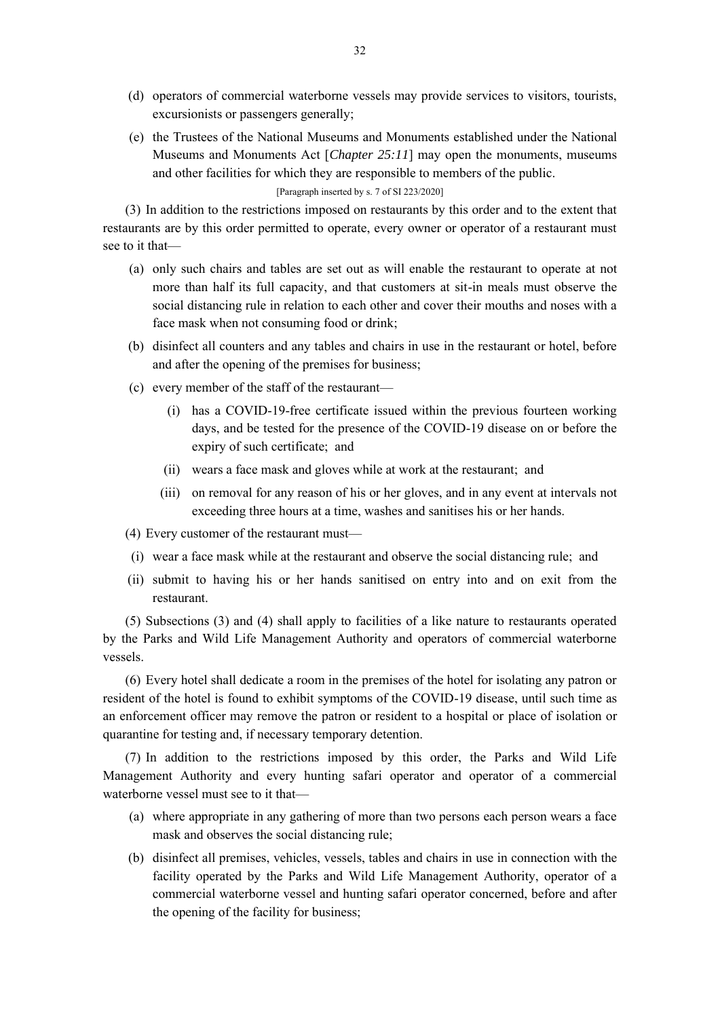- (d) operators of commercial waterborne vessels may provide services to visitors, tourists, excursionists or passengers generally;
- (e) the Trustees of the National Museums and Monuments established under the National Museums and Monuments Act [*Chapter 25:11*] may open the monuments, museums and other facilities for which they are responsible to members of the public.

[Paragraph inserted by s. 7 of SI 223/2020]

(3) In addition to the restrictions imposed on restaurants by this order and to the extent that restaurants are by this order permitted to operate, every owner or operator of a restaurant must see to it that—

- (a) only such chairs and tables are set out as will enable the restaurant to operate at not more than half its full capacity, and that customers at sit-in meals must observe the social distancing rule in relation to each other and cover their mouths and noses with a face mask when not consuming food or drink;
- (b) disinfect all counters and any tables and chairs in use in the restaurant or hotel, before and after the opening of the premises for business;
- (c) every member of the staff of the restaurant—
	- (i) has a COVID-19-free certificate issued within the previous fourteen working days, and be tested for the presence of the COVID-19 disease on or before the expiry of such certificate; and
	- (ii) wears a face mask and gloves while at work at the restaurant; and
	- (iii) on removal for any reason of his or her gloves, and in any event at intervals not exceeding three hours at a time, washes and sanitises his or her hands.

(4) Every customer of the restaurant must—

- (i) wear a face mask while at the restaurant and observe the social distancing rule; and
- (ii) submit to having his or her hands sanitised on entry into and on exit from the restaurant.

(5) Subsections (3) and (4) shall apply to facilities of a like nature to restaurants operated by the Parks and Wild Life Management Authority and operators of commercial waterborne vessels.

(6) Every hotel shall dedicate a room in the premises of the hotel for isolating any patron or resident of the hotel is found to exhibit symptoms of the COVID-19 disease, until such time as an enforcement officer may remove the patron or resident to a hospital or place of isolation or quarantine for testing and, if necessary temporary detention.

(7) In addition to the restrictions imposed by this order, the Parks and Wild Life Management Authority and every hunting safari operator and operator of a commercial waterborne vessel must see to it that—

- (a) where appropriate in any gathering of more than two persons each person wears a face mask and observes the social distancing rule;
- (b) disinfect all premises, vehicles, vessels, tables and chairs in use in connection with the facility operated by the Parks and Wild Life Management Authority, operator of a commercial waterborne vessel and hunting safari operator concerned, before and after the opening of the facility for business;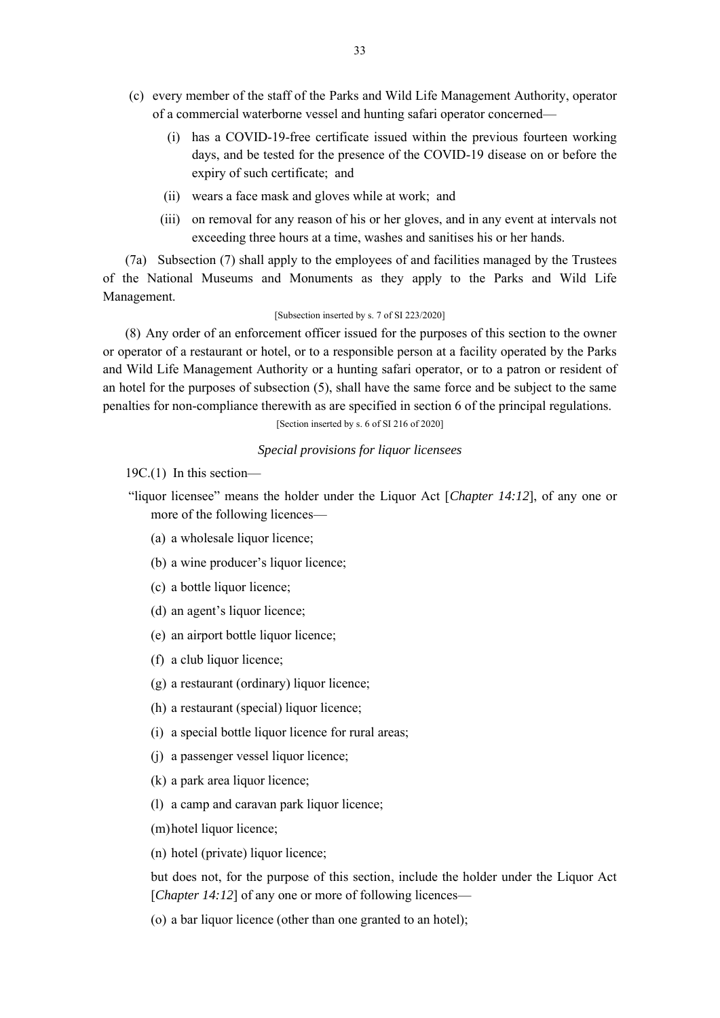- (c) every member of the staff of the Parks and Wild Life Management Authority, operator of a commercial waterborne vessel and hunting safari operator concerned—
	- (i) has a COVID-19-free certificate issued within the previous fourteen working days, and be tested for the presence of the COVID-19 disease on or before the expiry of such certificate; and
	- (ii) wears a face mask and gloves while at work; and
	- (iii) on removal for any reason of his or her gloves, and in any event at intervals not exceeding three hours at a time, washes and sanitises his or her hands.

(7a) Subsection (7) shall apply to the employees of and facilities managed by the Trustees of the National Museums and Monuments as they apply to the Parks and Wild Life Management.

### [Subsection inserted by s. 7 of SI 223/2020]

(8) Any order of an enforcement officer issued for the purposes of this section to the owner or operator of a restaurant or hotel, or to a responsible person at a facility operated by the Parks and Wild Life Management Authority or a hunting safari operator, or to a patron or resident of an hotel for the purposes of subsection (5), shall have the same force and be subject to the same penalties for non-compliance therewith as are specified in section 6 of the principal regulations.

[Section inserted by s. 6 of SI 216 of 2020]

# *Special provisions for liquor licensees*

19C.(1) In this section—

- "liquor licensee" means the holder under the Liquor Act [*Chapter 14:12*], of any one or more of the following licences—
	- (a) a wholesale liquor licence;
	- (b) a wine producer's liquor licence;
	- (c) a bottle liquor licence;
	- (d) an agent's liquor licence;
	- (e) an airport bottle liquor licence;
	- (f) a club liquor licence;
	- (g) a restaurant (ordinary) liquor licence;
	- (h) a restaurant (special) liquor licence;
	- (i) a special bottle liquor licence for rural areas;
	- (j) a passenger vessel liquor licence;
	- (k) a park area liquor licence;
	- (l) a camp and caravan park liquor licence;
	- (m)hotel liquor licence;
	- (n) hotel (private) liquor licence;

but does not, for the purpose of this section, include the holder under the Liquor Act [*Chapter 14:12*] of any one or more of following licences—

(o) a bar liquor licence (other than one granted to an hotel);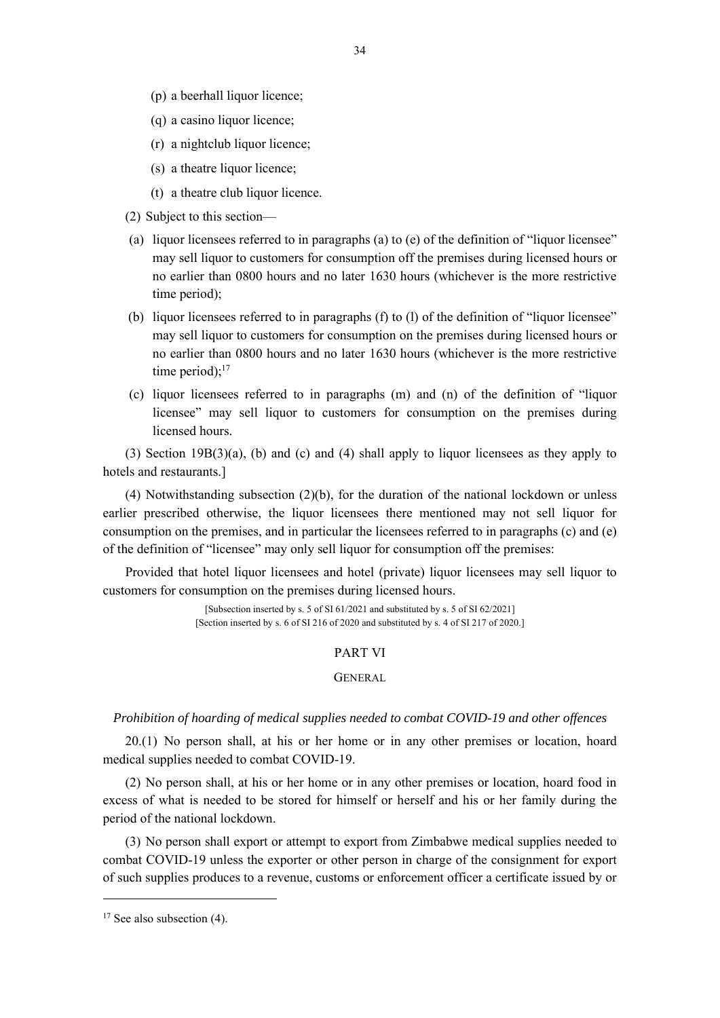- (p) a beerhall liquor licence;
- (q) a casino liquor licence;
- (r) a nightclub liquor licence;
- (s) a theatre liquor licence;
- (t) a theatre club liquor licence.
- (2) Subject to this section—
- (a) liquor licensees referred to in paragraphs (a) to (e) of the definition of "liquor licensee" may sell liquor to customers for consumption off the premises during licensed hours or no earlier than 0800 hours and no later 1630 hours (whichever is the more restrictive time period);
- (b) liquor licensees referred to in paragraphs (f) to (l) of the definition of "liquor licensee" may sell liquor to customers for consumption on the premises during licensed hours or no earlier than 0800 hours and no later 1630 hours (whichever is the more restrictive time period); $17$
- (c) liquor licensees referred to in paragraphs (m) and (n) of the definition of "liquor licensee" may sell liquor to customers for consumption on the premises during licensed hours.

(3) Section 19B(3)(a), (b) and (c) and (4) shall apply to liquor licensees as they apply to hotels and restaurants.]

(4) Notwithstanding subsection (2)(b), for the duration of the national lockdown or unless earlier prescribed otherwise, the liquor licensees there mentioned may not sell liquor for consumption on the premises, and in particular the licensees referred to in paragraphs (c) and (e) of the definition of "licensee" may only sell liquor for consumption off the premises:

Provided that hotel liquor licensees and hotel (private) liquor licensees may sell liquor to customers for consumption on the premises during licensed hours.

> [Subsection inserted by s. 5 of SI 61/2021 and substituted by s. 5 of SI 62/2021] [Section inserted by s. 6 of SI 216 of 2020 and substituted by s. 4 of SI 217 of 2020.]

# PART VI

#### GENERAL

### *Prohibition of hoarding of medical supplies needed to combat COVID-19 and other offences*

20.(1) No person shall, at his or her home or in any other premises or location, hoard medical supplies needed to combat COVID-19.

(2) No person shall, at his or her home or in any other premises or location, hoard food in excess of what is needed to be stored for himself or herself and his or her family during the period of the national lockdown.

(3) No person shall export or attempt to export from Zimbabwe medical supplies needed to combat COVID-19 unless the exporter or other person in charge of the consignment for export of such supplies produces to a revenue, customs or enforcement officer a certificate issued by or

 $17$  See also subsection (4).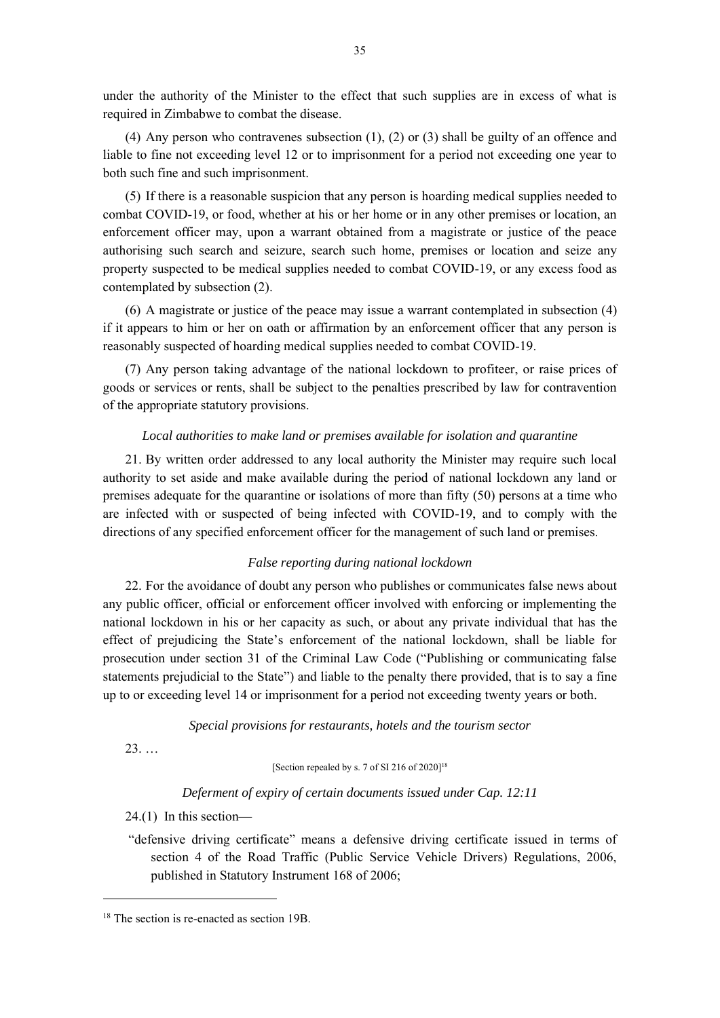under the authority of the Minister to the effect that such supplies are in excess of what is required in Zimbabwe to combat the disease.

(4) Any person who contravenes subsection (1), (2) or (3) shall be guilty of an offence and liable to fine not exceeding level 12 or to imprisonment for a period not exceeding one year to both such fine and such imprisonment.

(5) If there is a reasonable suspicion that any person is hoarding medical supplies needed to combat COVID-19, or food, whether at his or her home or in any other premises or location, an enforcement officer may, upon a warrant obtained from a magistrate or justice of the peace authorising such search and seizure, search such home, premises or location and seize any property suspected to be medical supplies needed to combat COVID-19, or any excess food as contemplated by subsection (2).

(6) A magistrate or justice of the peace may issue a warrant contemplated in subsection (4) if it appears to him or her on oath or affirmation by an enforcement officer that any person is reasonably suspected of hoarding medical supplies needed to combat COVID-19.

(7) Any person taking advantage of the national lockdown to profiteer, or raise prices of goods or services or rents, shall be subject to the penalties prescribed by law for contravention of the appropriate statutory provisions.

### *Local authorities to make land or premises available for isolation and quarantine*

21. By written order addressed to any local authority the Minister may require such local authority to set aside and make available during the period of national lockdown any land or premises adequate for the quarantine or isolations of more than fifty (50) persons at a time who are infected with or suspected of being infected with COVID-19, and to comply with the directions of any specified enforcement officer for the management of such land or premises.

### *False reporting during national lockdown*

22. For the avoidance of doubt any person who publishes or communicates false news about any public officer, official or enforcement officer involved with enforcing or implementing the national lockdown in his or her capacity as such, or about any private individual that has the effect of prejudicing the State's enforcement of the national lockdown, shall be liable for prosecution under section 31 of the Criminal Law Code ("Publishing or communicating false statements prejudicial to the State") and liable to the penalty there provided, that is to say a fine up to or exceeding level 14 or imprisonment for a period not exceeding twenty years or both.

*Special provisions for restaurants, hotels and the tourism sector*

23. …

[Section repealed by s. 7 of SI 216 of 2020]<sup>18</sup>

# *Deferment of expiry of certain documents issued under Cap. 12:11*

24.(1) In this section—

"defensive driving certificate" means a defensive driving certificate issued in terms of section 4 of the Road Traffic (Public Service Vehicle Drivers) Regulations, 2006, published in Statutory Instrument 168 of 2006;

<sup>&</sup>lt;sup>18</sup> The section is re-enacted as section 19B.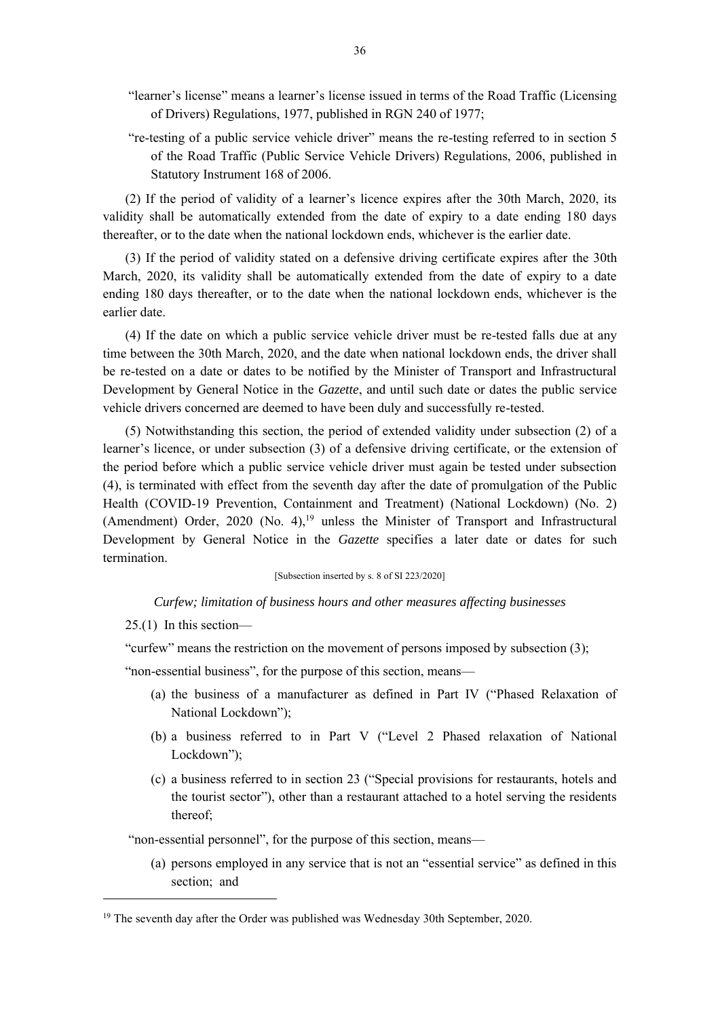- "learner's license" means a learner's license issued in terms of the Road Traffic (Licensing of Drivers) Regulations, 1977, published in RGN 240 of 1977;
- "re-testing of a public service vehicle driver" means the re-testing referred to in section 5 of the Road Traffic (Public Service Vehicle Drivers) Regulations, 2006, published in Statutory Instrument 168 of 2006.

(2) If the period of validity of a learner's licence expires after the 30th March, 2020, its validity shall be automatically extended from the date of expiry to a date ending 180 days thereafter, or to the date when the national lockdown ends, whichever is the earlier date.

(3) If the period of validity stated on a defensive driving certificate expires after the 30th March, 2020, its validity shall be automatically extended from the date of expiry to a date ending 180 days thereafter, or to the date when the national lockdown ends, whichever is the earlier date.

(4) If the date on which a public service vehicle driver must be re-tested falls due at any time between the 30th March, 2020, and the date when national lockdown ends, the driver shall be re-tested on a date or dates to be notified by the Minister of Transport and Infrastructural Development by General Notice in the *Gazette*, and until such date or dates the public service vehicle drivers concerned are deemed to have been duly and successfully re-tested.

(5) Notwithstanding this section, the period of extended validity under subsection (2) of a learner's licence, or under subsection (3) of a defensive driving certificate, or the extension of the period before which a public service vehicle driver must again be tested under subsection (4), is terminated with effect from the seventh day after the date of promulgation of the Public Health (COVID-19 Prevention, Containment and Treatment) (National Lockdown) (No. 2) (Amendment) Order, 2020 (No. 4),<sup>19</sup> unless the Minister of Transport and Infrastructural Development by General Notice in the *Gazette* specifies a later date or dates for such termination.

### [Subsection inserted by s. 8 of SI 223/2020]

*Curfew; limitation of business hours and other measures affecting businesses*

25.(1) In this section—

"curfew" means the restriction on the movement of persons imposed by subsection (3);

"non-essential business", for the purpose of this section, means—

- (a) the business of a manufacturer as defined in Part IV ("Phased Relaxation of National Lockdown");
- (b) a business referred to in Part V ("Level 2 Phased relaxation of National Lockdown");
- (c) a business referred to in section 23 ("Special provisions for restaurants, hotels and the tourist sector"), other than a restaurant attached to a hotel serving the residents thereof;

"non-essential personnel", for the purpose of this section, means—

(a) persons employed in any service that is not an "essential service" as defined in this section; and

<sup>&</sup>lt;sup>19</sup> The seventh day after the Order was published was Wednesday 30th September, 2020.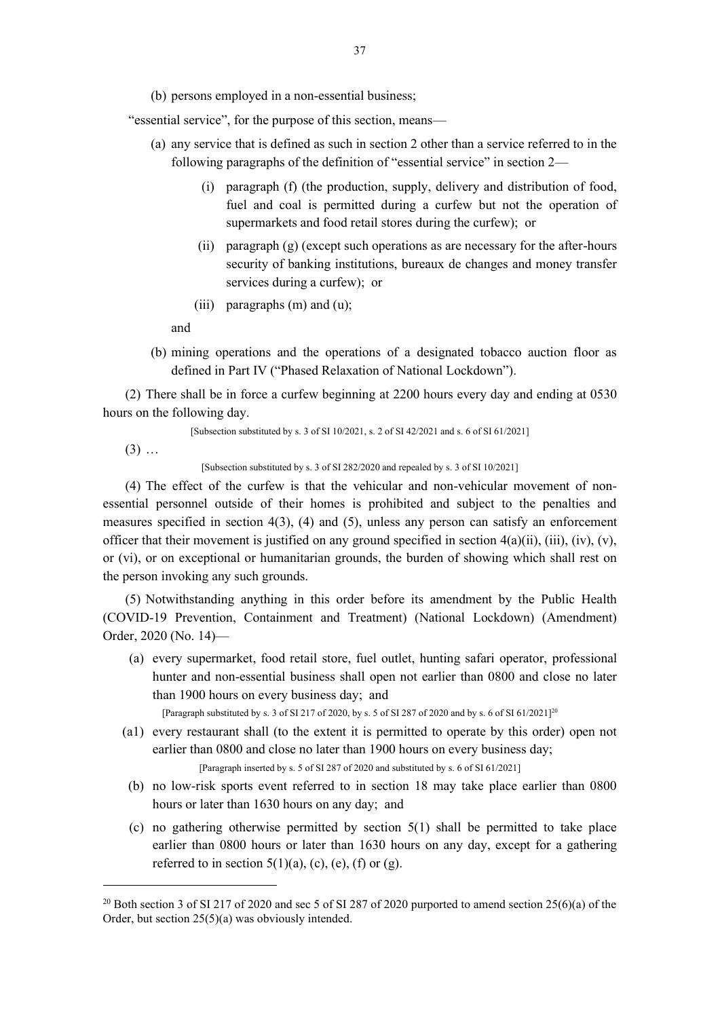(b) persons employed in a non-essential business;

"essential service", for the purpose of this section, means—

- (a) any service that is defined as such in section 2 other than a service referred to in the following paragraphs of the definition of "essential service" in section 2—
	- (i) paragraph (f) (the production, supply, delivery and distribution of food, fuel and coal is permitted during a curfew but not the operation of supermarkets and food retail stores during the curfew); or
	- (ii) paragraph (g) (except such operations as are necessary for the after-hours security of banking institutions, bureaux de changes and money transfer services during a curfew); or
	- (iii) paragraphs (m) and (u);

and

(b) mining operations and the operations of a designated tobacco auction floor as defined in Part IV ("Phased Relaxation of National Lockdown").

(2) There shall be in force a curfew beginning at 2200 hours every day and ending at 0530 hours on the following day.

[Subsection substituted by s. 3 of SI 10/2021, s. 2 of SI 42/2021 and s. 6 of SI 61/2021]

 $(3)$  ...

[Subsection substituted by s. 3 of SI 282/2020 and repealed by s. 3 of SI 10/2021]

(4) The effect of the curfew is that the vehicular and non-vehicular movement of nonessential personnel outside of their homes is prohibited and subject to the penalties and measures specified in section 4(3), (4) and (5), unless any person can satisfy an enforcement officer that their movement is justified on any ground specified in section  $4(a)(ii)$ ,  $(iii)$ ,  $(iv)$ ,  $(v)$ , or (vi), or on exceptional or humanitarian grounds, the burden of showing which shall rest on the person invoking any such grounds.

(5) Notwithstanding anything in this order before its amendment by the Public Health (COVID-19 Prevention, Containment and Treatment) (National Lockdown) (Amendment) Order, 2020 (No. 14)—

(a) every supermarket, food retail store, fuel outlet, hunting safari operator, professional hunter and non-essential business shall open not earlier than 0800 and close no later than 1900 hours on every business day; and

[Paragraph substituted by s. 3 of SI 217 of 2020, by s. 5 of SI 287 of 2020 and by s. 6 of SI 61/2021]<sup>20</sup>

(a1) every restaurant shall (to the extent it is permitted to operate by this order) open not earlier than 0800 and close no later than 1900 hours on every business day;

[Paragraph inserted by s. 5 of SI 287 of 2020 and substituted by s. 6 of SI 61/2021]

- (b) no low-risk sports event referred to in section 18 may take place earlier than 0800 hours or later than 1630 hours on any day; and
- (c) no gathering otherwise permitted by section 5(1) shall be permitted to take place earlier than 0800 hours or later than 1630 hours on any day, except for a gathering referred to in section  $5(1)(a)$ , (c), (e), (f) or (g).

<sup>&</sup>lt;sup>20</sup> Both section 3 of SI 217 of 2020 and sec 5 of SI 287 of 2020 purported to amend section 25(6)(a) of the Order, but section 25(5)(a) was obviously intended.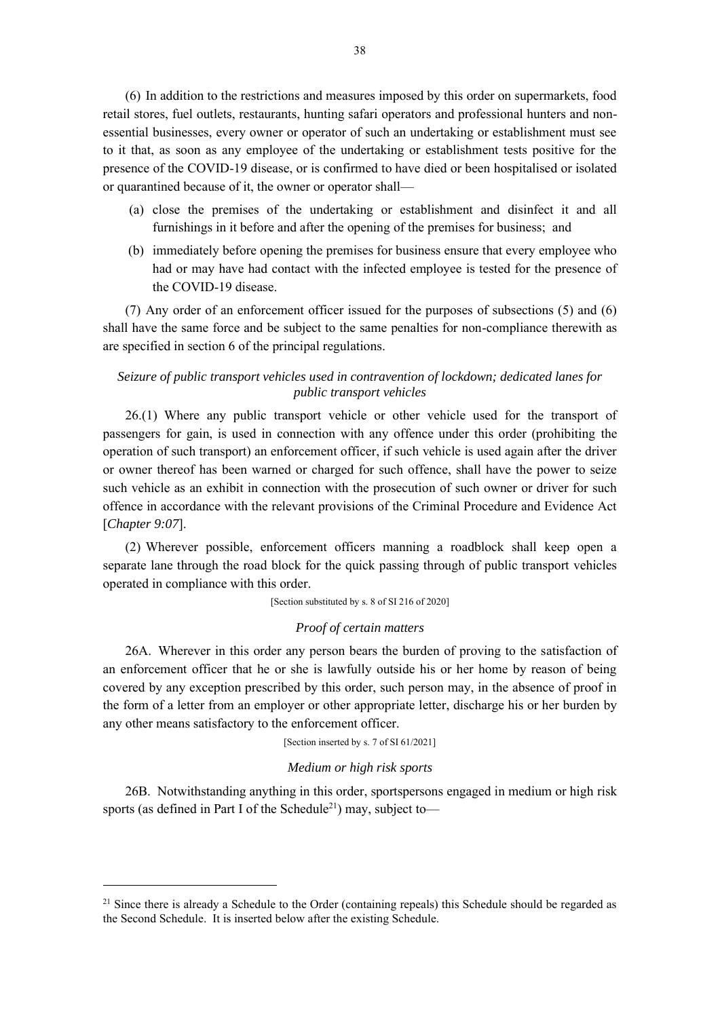(6) In addition to the restrictions and measures imposed by this order on supermarkets, food retail stores, fuel outlets, restaurants, hunting safari operators and professional hunters and nonessential businesses, every owner or operator of such an undertaking or establishment must see to it that, as soon as any employee of the undertaking or establishment tests positive for the presence of the COVID-19 disease, or is confirmed to have died or been hospitalised or isolated or quarantined because of it, the owner or operator shall—

- (a) close the premises of the undertaking or establishment and disinfect it and all furnishings in it before and after the opening of the premises for business; and
- (b) immediately before opening the premises for business ensure that every employee who had or may have had contact with the infected employee is tested for the presence of the COVID-19 disease.

(7) Any order of an enforcement officer issued for the purposes of subsections (5) and (6) shall have the same force and be subject to the same penalties for non-compliance therewith as are specified in section 6 of the principal regulations.

# *Seizure of public transport vehicles used in contravention of lockdown; dedicated lanes for public transport vehicles*

26.(1) Where any public transport vehicle or other vehicle used for the transport of passengers for gain, is used in connection with any offence under this order (prohibiting the operation of such transport) an enforcement officer, if such vehicle is used again after the driver or owner thereof has been warned or charged for such offence, shall have the power to seize such vehicle as an exhibit in connection with the prosecution of such owner or driver for such offence in accordance with the relevant provisions of the Criminal Procedure and Evidence Act [*Chapter 9:07*].

(2) Wherever possible, enforcement officers manning a roadblock shall keep open a separate lane through the road block for the quick passing through of public transport vehicles operated in compliance with this order.

[Section substituted by s. 8 of SI 216 of 2020]

### *Proof of certain matters*

26A. Wherever in this order any person bears the burden of proving to the satisfaction of an enforcement officer that he or she is lawfully outside his or her home by reason of being covered by any exception prescribed by this order, such person may, in the absence of proof in the form of a letter from an employer or other appropriate letter, discharge his or her burden by any other means satisfactory to the enforcement officer.

[Section inserted by s. 7 of SI 61/2021]

### *Medium or high risk sports*

26B. Notwithstanding anything in this order, sportspersons engaged in medium or high risk sports (as defined in Part I of the Schedule<sup>21</sup>) may, subject to—

 $21$  Since there is already a Schedule to the Order (containing repeals) this Schedule should be regarded as the Second Schedule. It is inserted below after the existing Schedule.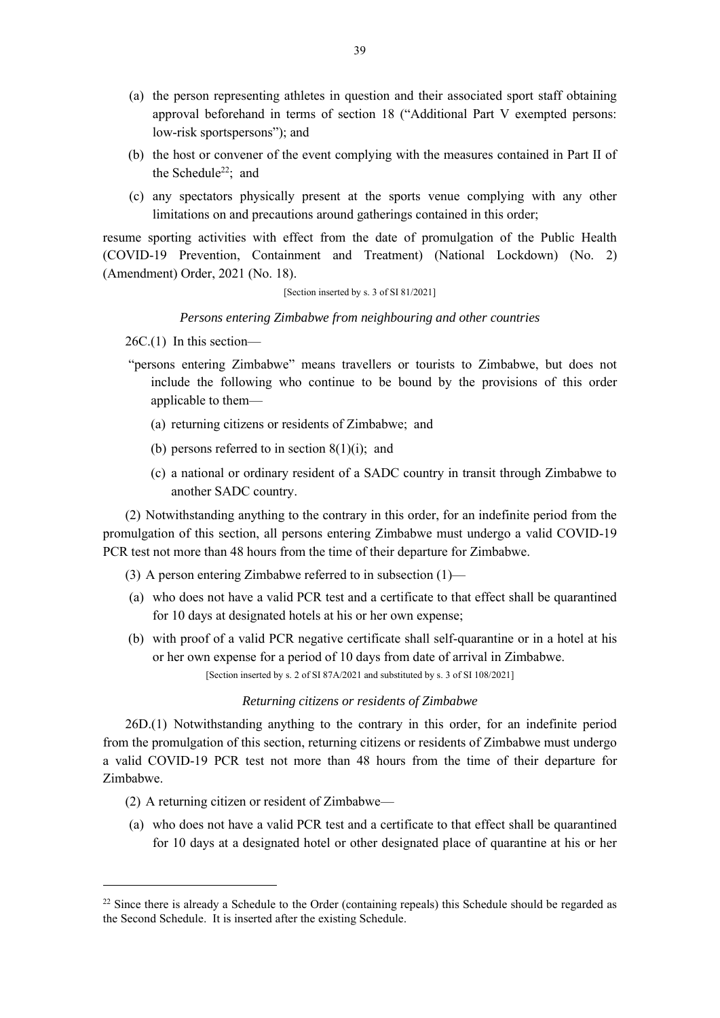- (a) the person representing athletes in question and their associated sport staff obtaining approval beforehand in terms of section 18 ("Additional Part V exempted persons: low-risk sportspersons"); and
- (b) the host or convener of the event complying with the measures contained in Part II of the Schedule<sup>22</sup>: and
- (c) any spectators physically present at the sports venue complying with any other limitations on and precautions around gatherings contained in this order;

resume sporting activities with effect from the date of promulgation of the Public Health (COVID-19 Prevention, Containment and Treatment) (National Lockdown) (No. 2) (Amendment) Order, 2021 (No. 18).

### [Section inserted by s. 3 of SI 81/2021]

## *Persons entering Zimbabwe from neighbouring and other countries*

26C.(1) In this section—

- "persons entering Zimbabwe" means travellers or tourists to Zimbabwe, but does not include the following who continue to be bound by the provisions of this order applicable to them—
	- (a) returning citizens or residents of Zimbabwe; and
	- (b) persons referred to in section  $8(1)(i)$ ; and
	- (c) a national or ordinary resident of a SADC country in transit through Zimbabwe to another SADC country.

(2) Notwithstanding anything to the contrary in this order, for an indefinite period from the promulgation of this section, all persons entering Zimbabwe must undergo a valid COVID-19 PCR test not more than 48 hours from the time of their departure for Zimbabwe.

(3) A person entering Zimbabwe referred to in subsection (1)—

- (a) who does not have a valid PCR test and a certificate to that effect shall be quarantined for 10 days at designated hotels at his or her own expense;
- (b) with proof of a valid PCR negative certificate shall self-quarantine or in a hotel at his or her own expense for a period of 10 days from date of arrival in Zimbabwe. [Section inserted by s. 2 of SI 87A/2021 and substituted by s. 3 of SI 108/2021]

# *Returning citizens or residents of Zimbabwe*

26D.(1) Notwithstanding anything to the contrary in this order, for an indefinite period from the promulgation of this section, returning citizens or residents of Zimbabwe must undergo a valid COVID-19 PCR test not more than 48 hours from the time of their departure for Zimbabwe.

- (2) A returning citizen or resident of Zimbabwe—
- (a) who does not have a valid PCR test and a certificate to that effect shall be quarantined for 10 days at a designated hotel or other designated place of quarantine at his or her

 $22$  Since there is already a Schedule to the Order (containing repeals) this Schedule should be regarded as the Second Schedule. It is inserted after the existing Schedule.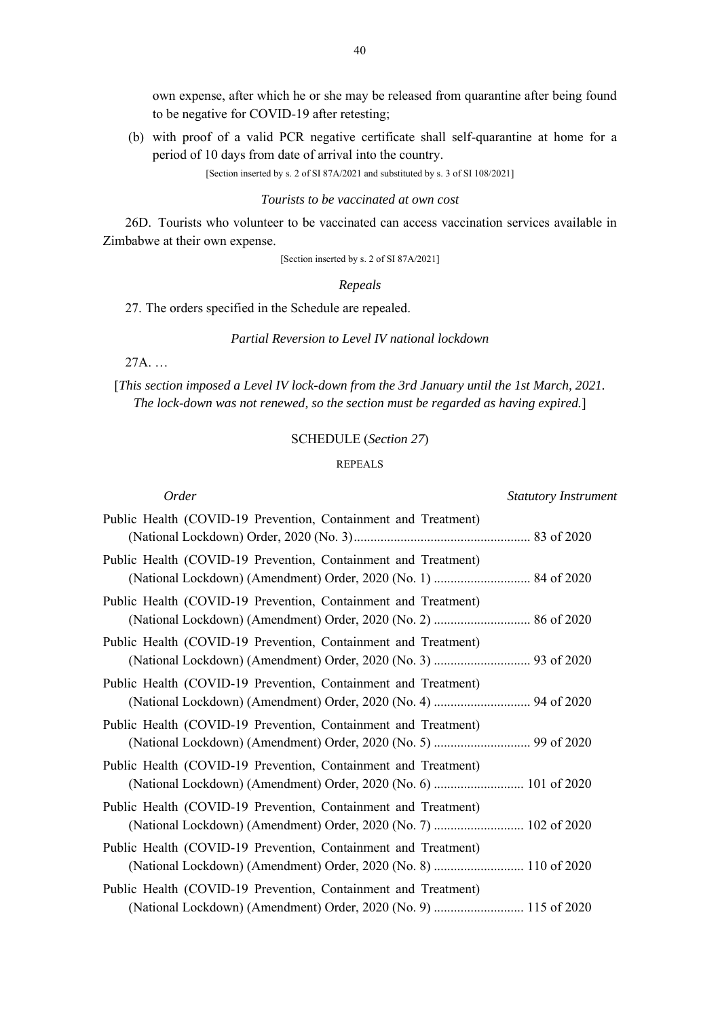own expense, after which he or she may be released from quarantine after being found to be negative for COVID-19 after retesting;

(b) with proof of a valid PCR negative certificate shall self-quarantine at home for a period of 10 days from date of arrival into the country.

[Section inserted by s. 2 of SI 87A/2021 and substituted by s. 3 of SI 108/2021]

#### *Tourists to be vaccinated at own cost*

26D. Tourists who volunteer to be vaccinated can access vaccination services available in Zimbabwe at their own expense.

[Section inserted by s. 2 of SI 87A/2021]

#### *Repeals*

27. The orders specified in the Schedule are repealed.

### *Partial Reversion to Level IV national lockdown*

27A. …

[*This section imposed a Level IV lock-down from the 3rd January until the 1st March, 2021. The lock-down was not renewed, so the section must be regarded as having expired.*]

### SCHEDULE (*Section 27*)

### REPEALS

| <i>Order</i>                                                                                                                       | <b>Statutory Instrument</b> |
|------------------------------------------------------------------------------------------------------------------------------------|-----------------------------|
| Public Health (COVID-19 Prevention, Containment and Treatment)                                                                     |                             |
| Public Health (COVID-19 Prevention, Containment and Treatment)                                                                     |                             |
| Public Health (COVID-19 Prevention, Containment and Treatment)                                                                     |                             |
| Public Health (COVID-19 Prevention, Containment and Treatment)                                                                     |                             |
| Public Health (COVID-19 Prevention, Containment and Treatment)<br>(National Lockdown) (Amendment) Order, 2020 (No. 4)  94 of 2020  |                             |
| Public Health (COVID-19 Prevention, Containment and Treatment)                                                                     |                             |
| Public Health (COVID-19 Prevention, Containment and Treatment)<br>(National Lockdown) (Amendment) Order, 2020 (No. 6)  101 of 2020 |                             |
| Public Health (COVID-19 Prevention, Containment and Treatment)<br>(National Lockdown) (Amendment) Order, 2020 (No. 7)  102 of 2020 |                             |
| Public Health (COVID-19 Prevention, Containment and Treatment)<br>(National Lockdown) (Amendment) Order, 2020 (No. 8)  110 of 2020 |                             |
| Public Health (COVID-19 Prevention, Containment and Treatment)<br>(National Lockdown) (Amendment) Order, 2020 (No. 9)  115 of 2020 |                             |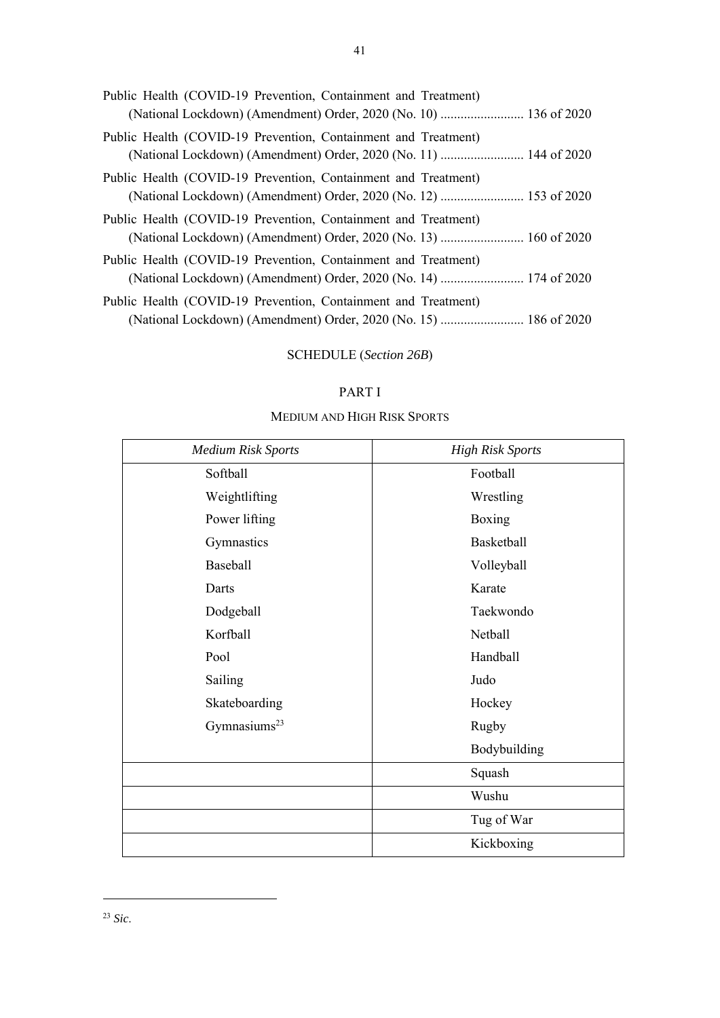| Public Health (COVID-19 Prevention, Containment and Treatment)<br>(National Lockdown) (Amendment) Order, 2020 (No. 10)  136 of 2020 |  |
|-------------------------------------------------------------------------------------------------------------------------------------|--|
| Public Health (COVID-19 Prevention, Containment and Treatment)                                                                      |  |
| Public Health (COVID-19 Prevention, Containment and Treatment)<br>(National Lockdown) (Amendment) Order, 2020 (No. 12)  153 of 2020 |  |
| Public Health (COVID-19 Prevention, Containment and Treatment)                                                                      |  |
| Public Health (COVID-19 Prevention, Containment and Treatment)                                                                      |  |
| Public Health (COVID-19 Prevention, Containment and Treatment)<br>(National Lockdown) (Amendment) Order, 2020 (No. 15)  186 of 2020 |  |

# SCHEDULE (*Section 26B*)

# PART I

# MEDIUM AND HIGH RISK SPORTS

| <b>Medium Risk Sports</b> | <b>High Risk Sports</b> |
|---------------------------|-------------------------|
| Softball                  | Football                |
| Weightlifting             | Wrestling               |
| Power lifting             | Boxing                  |
| Gymnastics                | Basketball              |
| Baseball                  | Volleyball              |
| Darts                     | Karate                  |
| Dodgeball                 | Taekwondo               |
| Korfball                  | Netball                 |
| Pool                      | Handball                |
| Sailing                   | Judo                    |
| Skateboarding             | Hockey                  |
| Gymnasiums <sup>23</sup>  | Rugby                   |
|                           | Bodybuilding            |
|                           | Squash                  |
|                           | Wushu                   |
|                           | Tug of War              |
|                           | Kickboxing              |